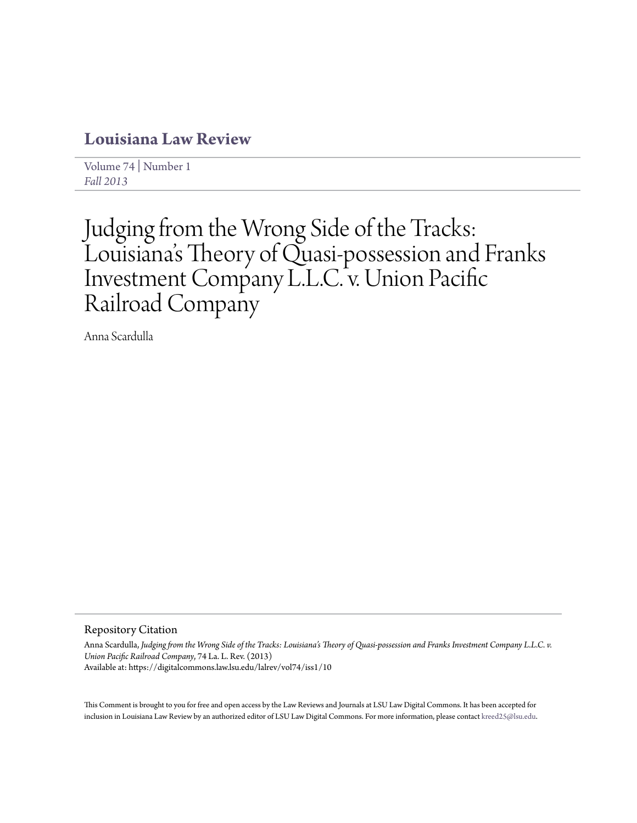## **[Louisiana Law Review](https://digitalcommons.law.lsu.edu/lalrev)**

[Volume 74](https://digitalcommons.law.lsu.edu/lalrev/vol74) | [Number 1](https://digitalcommons.law.lsu.edu/lalrev/vol74/iss1) *[Fall 2013](https://digitalcommons.law.lsu.edu/lalrev/vol74/iss1)*

# Judging from the Wrong Side of the Tracks: Louisiana 's Theory of Quasi-possession and Franks Investment Company L.L.C. v. Union Pacific Railroad Company

Anna Scardulla

#### Repository Citation

Anna Scardulla, *Judging from the Wrong Side of the Tracks: Louisiana's Theory of Quasi-possession and Franks Investment Company L.L.C. v. Union Pacific Railroad Company*, 74 La. L. Rev. (2013) Available at: https://digitalcommons.law.lsu.edu/lalrev/vol74/iss1/10

This Comment is brought to you for free and open access by the Law Reviews and Journals at LSU Law Digital Commons. It has been accepted for inclusion in Louisiana Law Review by an authorized editor of LSU Law Digital Commons. For more information, please contact [kreed25@lsu.edu](mailto:kreed25@lsu.edu).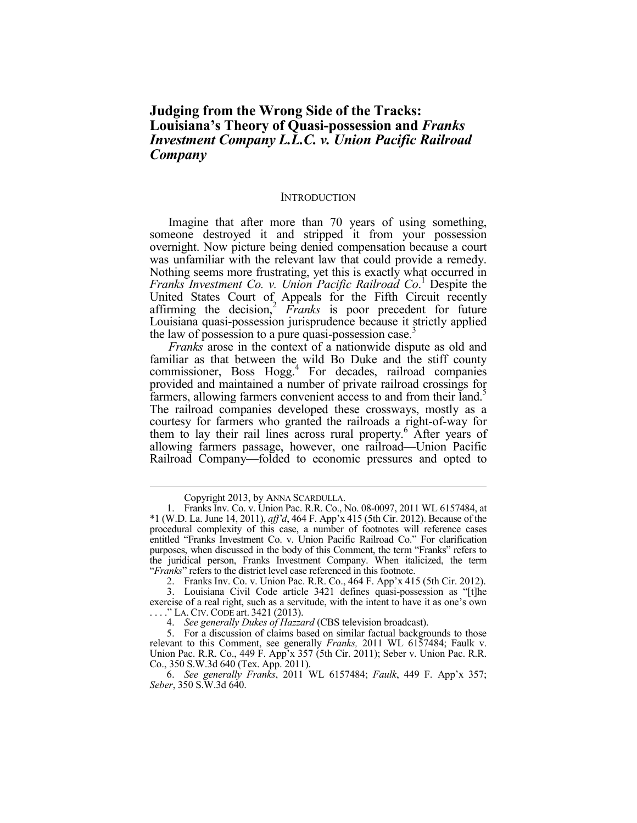### **Judging from the Wrong Side of the Tracks: Louisiana's Theory of Quasi-possession and** *Franks Investment Company L.L.C. v. Union Pacific Railroad Company*

#### **INTRODUCTION**

Imagine that after more than 70 years of using something, someone destroyed it and stripped it from your possession overnight. Now picture being denied compensation because a court was unfamiliar with the relevant law that could provide a remedy. Nothing seems more frustrating, yet this is exactly what occurred in *Franks Investment Co. v. Union Pacific Railroad Co*. 1 Despite the United States Court of Appeals for the Fifth Circuit recently affirming the decision,<sup>2</sup> *Franks* is poor precedent for future Louisiana quasi-possession jurisprudence because it strictly applied the law of possession to a pure quasi-possession case.

*Franks* arose in the context of a nationwide dispute as old and familiar as that between the wild Bo Duke and the stiff county commissioner, Boss Hogg.<sup>4</sup> For decades, railroad companies provided and maintained a number of private railroad crossings for farmers, allowing farmers convenient access to and from their land.<sup>5</sup> The railroad companies developed these crossways, mostly as a courtesy for farmers who granted the railroads a right-of-way for them to lay their rail lines across rural property.<sup>6</sup> After years of allowing farmers passage, however, one railroad—Union Pacific Railroad Company—folded to economic pressures and opted to

Copyright 2013, by ANNA SCARDULLA.

 <sup>1.</sup> Franks Inv. Co. v. Union Pac. R.R. Co., No. 08-0097, 2011 WL 6157484, at \*1 (W.D. La. June 14, 2011), *aff'd*, 464 F. App'x 415 (5th Cir. 2012). Because of the procedural complexity of this case, a number of footnotes will reference cases entitled "Franks Investment Co. v. Union Pacific Railroad Co." For clarification purposes, when discussed in the body of this Comment, the term "Franks" refers to the juridical person, Franks Investment Company. When italicized, the term "*Franks*" refers to the district level case referenced in this footnote.

 <sup>2.</sup> Franks Inv. Co. v. Union Pac. R.R. Co., 464 F. App'x 415 (5th Cir. 2012).

 <sup>3.</sup> Louisiana Civil Code article 3421 defines quasi-possession as "[t]he exercise of a real right, such as a servitude, with the intent to have it as one's own . . . ." LA. CIV. CODE art. 3421 (2013).

 <sup>4.</sup> *See generally Dukes of Hazzard* (CBS television broadcast).

 <sup>5.</sup> For a discussion of claims based on similar factual backgrounds to those relevant to this Comment, see generally *Franks,* 2011 WL 6157484; Faulk v. Union Pac. R.R. Co., 449 F. App'x 357 (5th Cir. 2011); Seber v. Union Pac. R.R. Co., 350 S.W.3d 640 (Tex. App. 2011).

 <sup>6.</sup> *See generally Franks*, 2011 WL 6157484; *Faulk*, 449 F. App'x 357; *Seber*, 350 S.W.3d 640.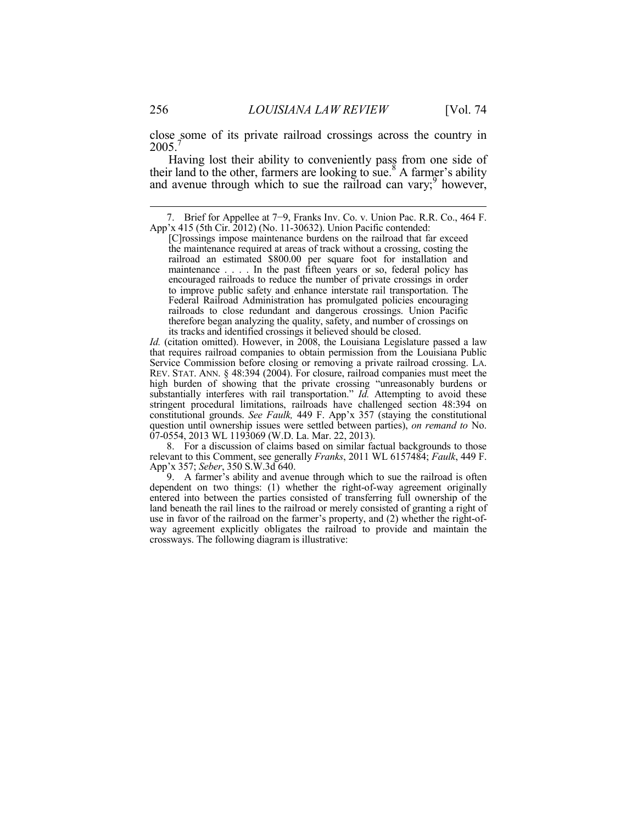close some of its private railroad crossings across the country in  $2005.<sup>7</sup>$ 

Having lost their ability to conveniently pass from one side of their land to the other, farmers are looking to sue.<sup>8</sup> A farmer's ability and avenue through which to sue the railroad can vary; $9$  however,

*Id.* (citation omitted). However, in 2008, the Louisiana Legislature passed a law that requires railroad companies to obtain permission from the Louisiana Public REV. STAT. ANN. § 48:394 (2004). For closure, railroad companies must meet the high burden of showing that the private crossing "unreasonably burdens or substantially interferes with rail transportation." *Id.* Attempting to avoid these stringent procedural limitations, railroads have challenged section 48:394 on constitutional grounds. *See Faulk,* 449 F. App'x 357 (staying the constitutional question until ownership issues were settled between parties), *on remand to* No. 07-0554, 2013 WL 1193069 (W.D. La. Mar. 22, 2013).

 8. For a discussion of claims based on similar factual backgrounds to those relevant to this Comment, see generally *Franks*, 2011 WL 6157484; *Faulk*, 449 F. App'x 357; *Seber*, 350 S.W.3d 640.

 9. A farmer's ability and avenue through which to sue the railroad is often dependent on two things: (1) whether the right-of-way agreement originally entered into between the parties consisted of transferring full ownership of the land beneath the rail lines to the railroad or merely consisted of granting a right of use in favor of the railroad on the farmer's property, and (2) whether the right-ofway agreement explicitly obligates the railroad to provide and maintain the crossways. The following diagram is illustrative:

 <sup>7.</sup> Brief for Appellee at 7−9, Franks Inv. Co. v. Union Pac. R.R. Co., 464 F. App'x 415 (5th Cir. 2012) (No. 11-30632). Union Pacific contended:

<sup>[</sup>C]rossings impose maintenance burdens on the railroad that far exceed the maintenance required at areas of track without a crossing, costing the railroad an estimated \$800.00 per square foot for installation and maintenance . . . . In the past fifteen years or so, federal policy has encouraged railroads to reduce the number of private crossings in order to improve public safety and enhance interstate rail transportation. The Federal Railroad Administration has promulgated policies encouraging railroads to close redundant and dangerous crossings. Union Pacific therefore began analyzing the quality, safety, and number of crossings on its tracks and identified crossings it believed should be closed.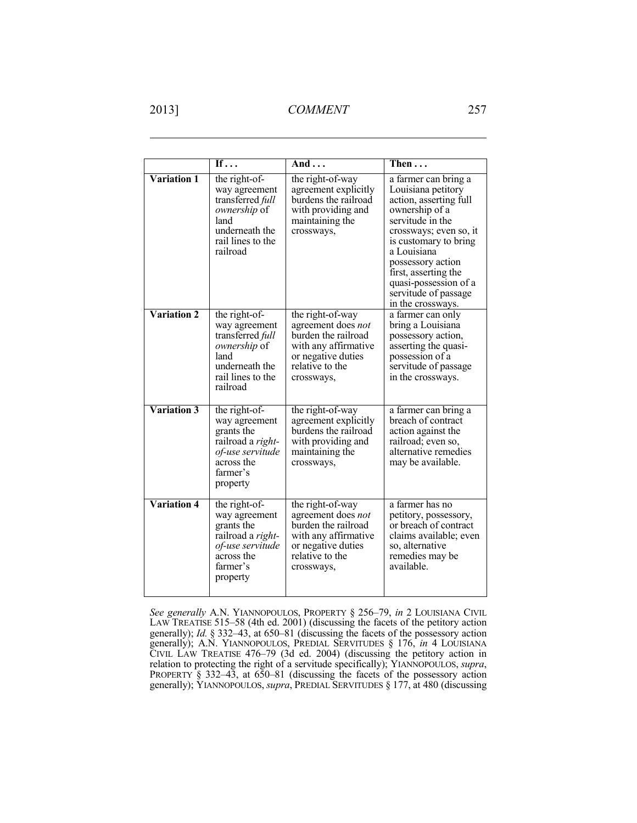1

|                    | If $\ldots$                                                                                                                   | And $\ldots$                                                                                                                                 | Then                                                                                                                                                                                                                                                                                            |
|--------------------|-------------------------------------------------------------------------------------------------------------------------------|----------------------------------------------------------------------------------------------------------------------------------------------|-------------------------------------------------------------------------------------------------------------------------------------------------------------------------------------------------------------------------------------------------------------------------------------------------|
| <b>Variation 1</b> | the right-of-<br>way agreement<br>transferred full<br>ownership of<br>land<br>underneath the<br>rail lines to the<br>railroad | the right-of-way<br>agreement explicitly<br>burdens the railroad<br>with providing and<br>maintaining the<br>crossways,                      | a farmer can bring a<br>Louisiana petitory<br>action, asserting full<br>ownership of a<br>servitude in the<br>crossways; even so, it<br>is customary to bring<br>a Louisiana<br>possessory action<br>first, asserting the<br>quasi-possession of a<br>servitude of passage<br>in the crossways. |
| <b>Variation 2</b> | the right-of-<br>way agreement<br>transferred full<br>ownership of<br>land<br>underneath the<br>rail lines to the<br>railroad | the right-of-way<br>agreement does not<br>burden the railroad<br>with any affirmative<br>or negative duties<br>relative to the<br>crossways, | a farmer can only<br>bring a Louisiana<br>possessory action,<br>asserting the quasi-<br>possession of a<br>servitude of passage<br>in the crossways.                                                                                                                                            |
| <b>Variation 3</b> | the right-of-<br>way agreement<br>grants the<br>railroad a right-<br>of-use servitude<br>across the<br>farmer's<br>property   | the right-of-way<br>agreement explicitly<br>burdens the railroad<br>with providing and<br>maintaining the<br>crossways,                      | a farmer can bring a<br>breach of contract<br>action against the<br>railroad; even so,<br>alternative remedies<br>may be available.                                                                                                                                                             |
| <b>Variation 4</b> | the right-of-<br>way agreement<br>grants the<br>railroad a right-<br>of-use servitude<br>across the<br>farmer's<br>property   | the right-of-way<br>agreement does not<br>burden the railroad<br>with any affirmative<br>or negative duties<br>relative to the<br>crossways, | a farmer has no<br>petitory, possessory,<br>or breach of contract<br>claims available; even<br>so, alternative<br>remedies may be<br>available.                                                                                                                                                 |

*See generally* A.N. YIANNOPOULOS, PROPERTY § 256–79, *in* 2 LOUISIANA CIVIL LAW TREATISE 515–58 (4th ed. 2001) (discussing the facets of the petitory action generally); *Id.* § 332–43, at 650–81 (discussing the facets of the possessory action generally); A.N. YIANNOPOULOS, PREDIAL SERVITUDES § 176, *in* 4 LOUISIANA CIVIL LAW TREATISE 476–79 (3d ed. 2004) (discussing the petitory action in relation to protecting the right of a servitude specifically); YIANNOPOULOS, *supra*, PROPERTY § 332–43, at 650–81 (discussing the facets of the possessory action generally); YIANNOPOULOS, *supra*, PREDIAL SERVITUDES § 177, at 480 (discussing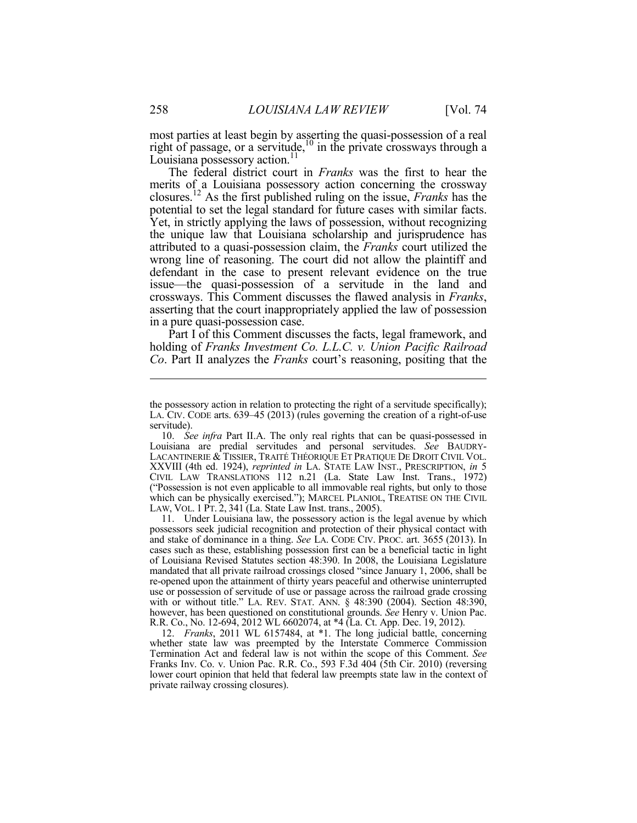most parties at least begin by asserting the quasi-possession of a real right of passage, or a servitude,  $^{10}$  in the private crossways through a Louisiana possessory action.<sup>11</sup>

The federal district court in *Franks* was the first to hear the merits of a Louisiana possessory action concerning the crossway closures.12 As the first published ruling on the issue, *Franks* has the potential to set the legal standard for future cases with similar facts. Yet, in strictly applying the laws of possession, without recognizing the unique law that Louisiana scholarship and jurisprudence has attributed to a quasi-possession claim, the *Franks* court utilized the wrong line of reasoning. The court did not allow the plaintiff and defendant in the case to present relevant evidence on the true issue—the quasi-possession of a servitude in the land and crossways. This Comment discusses the flawed analysis in *Franks*, asserting that the court inappropriately applied the law of possession in a pure quasi-possession case.

Part I of this Comment discusses the facts, legal framework, and holding of *Franks Investment Co. L.L.C. v. Union Pacific Railroad Co*. Part II analyzes the *Franks* court's reasoning, positing that the

 11. Under Louisiana law, the possessory action is the legal avenue by which possessors seek judicial recognition and protection of their physical contact with and stake of dominance in a thing. *See* LA. CODE CIV. PROC. art. 3655 (2013). In cases such as these, establishing possession first can be a beneficial tactic in light of Louisiana Revised Statutes section 48:390. In 2008, the Louisiana Legislature mandated that all private railroad crossings closed "since January 1, 2006, shall be re-opened upon the attainment of thirty years peaceful and otherwise uninterrupted use or possession of servitude of use or passage across the railroad grade crossing with or without title." LA. REV. STAT. ANN. § 48:390 (2004). Section 48:390, however, has been questioned on constitutional grounds. *See* Henry v. Union Pac. R.R. Co., No. 12-694, 2012 WL 6602074, at \*4 (La. Ct. App. Dec. 19, 2012).

 12. *Franks*, 2011 WL 6157484, at \*1. The long judicial battle, concerning whether state law was preempted by the Interstate Commerce Commission Termination Act and federal law is not within the scope of this Comment. *See* Franks Inv. Co. v. Union Pac. R.R. Co., 593 F.3d 404 (5th Cir. 2010) (reversing lower court opinion that held that federal law preempts state law in the context of private railway crossing closures).

the possessory action in relation to protecting the right of a servitude specifically); LA. CIV. CODE arts. 639–45 (2013) (rules governing the creation of a right-of-use servitude).

 <sup>10.</sup> *See infra* Part II.A. The only real rights that can be quasi-possessed in Louisiana are predial servitudes and personal servitudes. *See* BAUDRY-LACANTINERIE & TISSIER, TRAITÉ THÉORIQUE ET PRATIQUE DE DROIT CIVIL VOL. XXVIII (4th ed. 1924), *reprinted in* LA. STATE LAW INST., PRESCRIPTION, *in* 5 CIVIL LAW TRANSLATIONS 112 n.21 (La. State Law Inst. Trans., 1972) ("Possession is not even applicable to all immovable real rights, but only to those which can be physically exercised."); MARCEL PLANIOL, TREATISE ON THE CIVIL LAW, VOL. 1 PT. 2, 341 (La. State Law Inst. trans., 2005).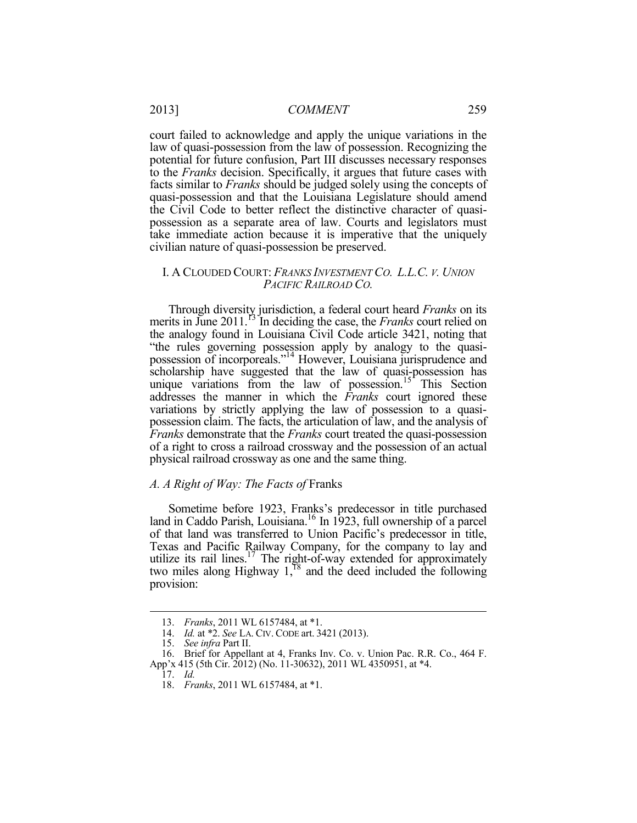court failed to acknowledge and apply the unique variations in the law of quasi-possession from the law of possession. Recognizing the potential for future confusion, Part III discusses necessary responses to the *Franks* decision. Specifically, it argues that future cases with facts similar to *Franks* should be judged solely using the concepts of quasi-possession and that the Louisiana Legislature should amend the Civil Code to better reflect the distinctive character of quasipossession as a separate area of law. Courts and legislators must take immediate action because it is imperative that the uniquely civilian nature of quasi-possession be preserved.

#### I. A CLOUDED COURT: *FRANKS INVESTMENT CO. L.L.C. V. UNION PACIFIC RAILROAD CO.*

Through diversity jurisdiction, a federal court heard *Franks* on its merits in June 2011.<sup>13</sup> In deciding the case, the *Franks* court relied on the analogy found in Louisiana Civil Code article 3421, noting that "the rules governing possession apply by analogy to the quasipossession of incorporeals."14 However, Louisiana jurisprudence and scholarship have suggested that the law of quasi-possession has unique variations from the law of possession.<sup>15</sup> This Section addresses the manner in which the *Franks* court ignored these variations by strictly applying the law of possession to a quasipossession claim. The facts, the articulation of law, and the analysis of *Franks* demonstrate that the *Franks* court treated the quasi-possession of a right to cross a railroad crossway and the possession of an actual physical railroad crossway as one and the same thing.

#### *A. A Right of Way: The Facts of* Franks

Sometime before 1923, Franks's predecessor in title purchased land in Caddo Parish, Louisiana.16 In 1923, full ownership of a parcel of that land was transferred to Union Pacific's predecessor in title, Texas and Pacific Railway Company, for the company to lay and utilize its rail lines. $17$  The right-of-way extended for approximately two miles along Highway  $1<sup>18</sup>$  and the deed included the following provision:

 <sup>13.</sup> *Franks*, 2011 WL 6157484, at \*1.

 <sup>14.</sup> *Id.* at \*2. *See* LA. CIV. CODE art. 3421 (2013).

 <sup>15.</sup> *See infra* Part II.

 <sup>16.</sup> Brief for Appellant at 4, Franks Inv. Co. v. Union Pac. R.R. Co., 464 F. App'x 415 (5th Cir. 2012) (No. 11-30632), 2011 WL 4350951, at \*4.

 <sup>17.</sup> *Id.*

 <sup>18.</sup> *Franks*, 2011 WL 6157484, at \*1.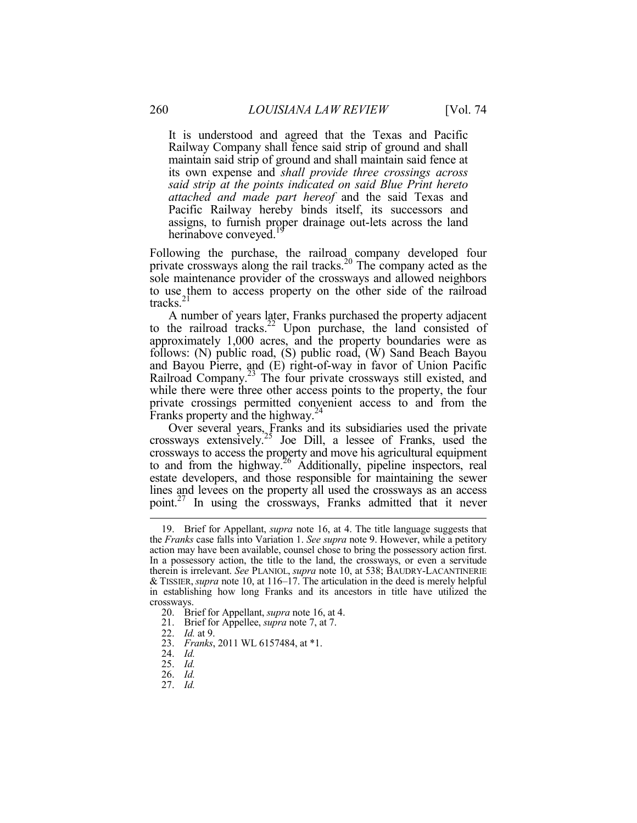It is understood and agreed that the Texas and Pacific Railway Company shall fence said strip of ground and shall maintain said strip of ground and shall maintain said fence at its own expense and *shall provide three crossings across said strip at the points indicated on said Blue Print hereto attached and made part hereof* and the said Texas and Pacific Railway hereby binds itself, its successors and assigns, to furnish proper drainage out-lets across the land herinabove conveyed.<sup>19</sup>

Following the purchase, the railroad company developed four private crossways along the rail tracks.<sup>20</sup> The company acted as the sole maintenance provider of the crossways and allowed neighbors to use them to access property on the other side of the railroad tracks.<sup>21</sup>

A number of years later, Franks purchased the property adjacent to the railroad tracks.<sup>22</sup> Upon purchase, the land consisted of approximately 1,000 acres, and the property boundaries were as follows: (N) public road, (S) public road, (W) Sand Beach Bayou and Bayou Pierre, and (E) right-of-way in favor of Union Pacific Railroad Company.23 The four private crossways still existed, and while there were three other access points to the property, the four private crossings permitted convenient access to and from the Franks property and the highway.<sup>24</sup>

Over several years, Franks and its subsidiaries used the private crossways extensively.25 Joe Dill, a lessee of Franks, used the crossways to access the property and move his agricultural equipment to and from the highway.<sup>26</sup> Additionally, pipeline inspectors, real estate developers, and those responsible for maintaining the sewer lines and levees on the property all used the crossways as an access point.<sup>27</sup> In using the crossways, Franks admitted that it never

 <sup>19.</sup> Brief for Appellant, *supra* note 16, at 4. The title language suggests that the *Franks* case falls into Variation 1. *See supra* note 9. However, while a petitory action may have been available, counsel chose to bring the possessory action first. In a possessory action, the title to the land, the crossways, or even a servitude therein is irrelevant. *See* PLANIOL, *supra* note 10, at 538; BAUDRY-LACANTINERIE & TISSIER, *supra* note 10, at 116–17. The articulation in the deed is merely helpful in establishing how long Franks and its ancestors in title have utilized the crossways.

 <sup>20.</sup> Brief for Appellant, *supra* note 16, at 4.

 <sup>21.</sup> Brief for Appellee, *supra* note 7, at 7.

 <sup>22.</sup> *Id.* at 9.

 <sup>23.</sup> *Franks*, 2011 WL 6157484, at \*1.

 <sup>24.</sup> *Id.* 

 <sup>25.</sup> *Id.* 

 <sup>26.</sup> *Id.* 

 <sup>27.</sup> *Id.*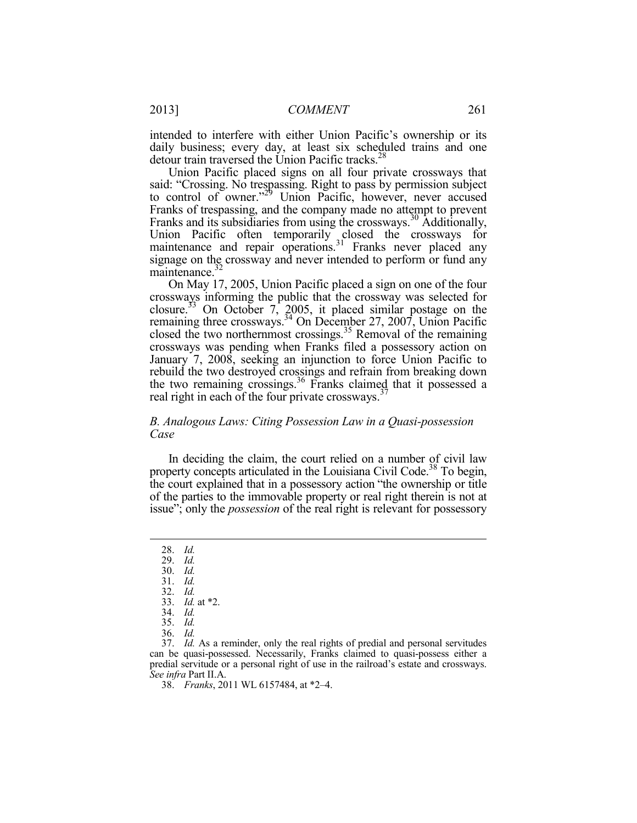intended to interfere with either Union Pacific's ownership or its daily business; every day, at least six scheduled trains and one detour train traversed the Union Pacific tracks.<sup>28</sup>

Union Pacific placed signs on all four private crossways that said: "Crossing. No trespassing. Right to pass by permission subject to control of owner."<sup>29</sup> Union Pacific, however, never accused <sup>9</sup> Union Pacific, however, never accused Franks of trespassing, and the company made no attempt to prevent Franks and its subsidiaries from using the crossways.30 Additionally, Union Pacific often temporarily closed the crossways for maintenance and repair operations.<sup>31</sup> Franks never placed any signage on the crossway and never intended to perform or fund any maintenance.<sup>32</sup>

On May 17, 2005, Union Pacific placed a sign on one of the four crossways informing the public that the crossway was selected for closure.<sup>33</sup> On October 7, 2005, it placed similar postage on the remaining three crossways.<sup>34</sup> On December 27, 2007, Union Pacific closed the two northernmost crossings.35 Removal of the remaining crossways was pending when Franks filed a possessory action on January 7, 2008, seeking an injunction to force Union Pacific to rebuild the two destroyed crossings and refrain from breaking down the two remaining crossings.<sup>36</sup> Franks claimed that it possessed a real right in each of the four private crossways.<sup>3</sup>

#### *B. Analogous Laws: Citing Possession Law in a Quasi-possession Case*

In deciding the claim, the court relied on a number of civil law property concepts articulated in the Louisiana Civil Code.<sup>38</sup> To begin, the court explained that in a possessory action "the ownership or title of the parties to the immovable property or real right therein is not at issue"; only the *possession* of the real right is relevant for possessory

 <sup>28.</sup> *Id.* 

 <sup>29.</sup> *Id.* 

 <sup>30.</sup> *Id.*  31. *Id.* 

 <sup>32.</sup> *Id.* 

 <sup>33.</sup> *Id.* at \*2.

 <sup>34.</sup> *Id.* 

 <sup>35.</sup> *Id.* 

 <sup>36.</sup> *Id.*

 <sup>37.</sup> *Id.* As a reminder, only the real rights of predial and personal servitudes can be quasi-possessed. Necessarily, Franks claimed to quasi-possess either a predial servitude or a personal right of use in the railroad's estate and crossways. *See infra* Part II.A.

 <sup>38.</sup> *Franks*, 2011 WL 6157484, at \*2–4.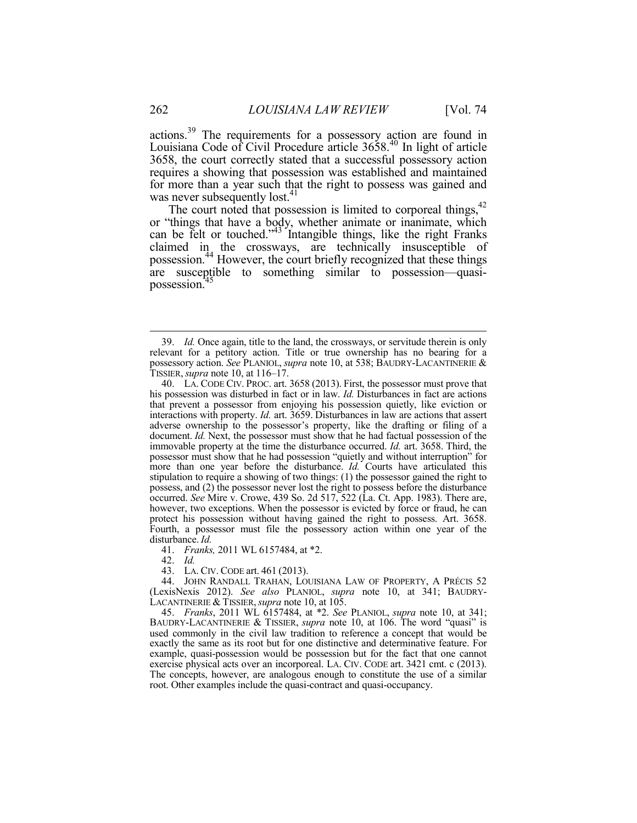actions.39 The requirements for a possessory action are found in Louisiana Code of Civil Procedure article 3658.<sup>40</sup> In light of article 3658, the court correctly stated that a successful possessory action requires a showing that possession was established and maintained for more than a year such that the right to possess was gained and was never subsequently lost.<sup>41</sup>

The court noted that possession is limited to corporeal things,<sup>42</sup> or "things that have a body, whether animate or inanimate, which can be felt or touched."<sup>43</sup> Intangible things, like the right Franks claimed in the crossways, are technically insusceptible of possession.44 However, the court briefly recognized that these things are susceptible to something similar to possession—quasipossession.<sup>4</sup>

41. *Franks,* 2011 WL 6157484, at \*2.

42. *Id.* 

43. LA. CIV. CODE art. 461 (2013).

 44. JOHN RANDALL TRAHAN, LOUISIANA LAW OF PROPERTY, A PRÉCIS 52 (LexisNexis 2012). *See also* PLANIOL, *supra* note 10, at 341; BAUDRY-LACANTINERIE & TISSIER,*supra* note 10, at 105.

 45. *Franks*, 2011 WL 6157484, at \*2. *See* PLANIOL, *supra* note 10, at 341; BAUDRY-LACANTINERIE & TISSIER, *supra* note 10, at 106. The word "quasi" is used commonly in the civil law tradition to reference a concept that would be exactly the same as its root but for one distinctive and determinative feature. For example, quasi-possession would be possession but for the fact that one cannot exercise physical acts over an incorporeal. LA. CIV. CODE art. 3421 cmt. c (2013). The concepts, however, are analogous enough to constitute the use of a similar root. Other examples include the quasi-contract and quasi-occupancy.

 <sup>39.</sup> *Id.* Once again, title to the land, the crossways, or servitude therein is only relevant for a petitory action. Title or true ownership has no bearing for a possessory action. *See* PLANIOL, *supra* note 10, at 538; BAUDRY-LACANTINERIE & TISSIER,*supra* note 10, at 116–17.

 <sup>40.</sup> LA. CODE CIV. PROC. art. 3658 (2013). First, the possessor must prove that his possession was disturbed in fact or in law. *Id.* Disturbances in fact are actions that prevent a possessor from enjoying his possession quietly, like eviction or interactions with property. *Id.* art. 3659. Disturbances in law are actions that assert adverse ownership to the possessor's property, like the drafting or filing of a document. *Id.* Next, the possessor must show that he had factual possession of the immovable property at the time the disturbance occurred. *Id.* art. 3658. Third, the possessor must show that he had possession "quietly and without interruption" for more than one year before the disturbance. *Id.* Courts have articulated this stipulation to require a showing of two things: (1) the possessor gained the right to possess, and (2) the possessor never lost the right to possess before the disturbance occurred. *See* Mire v. Crowe, 439 So. 2d 517, 522 (La. Ct. App. 1983). There are, however, two exceptions. When the possessor is evicted by force or fraud, he can protect his possession without having gained the right to possess. Art. 3658. Fourth, a possessor must file the possessory action within one year of the disturbance. *Id.*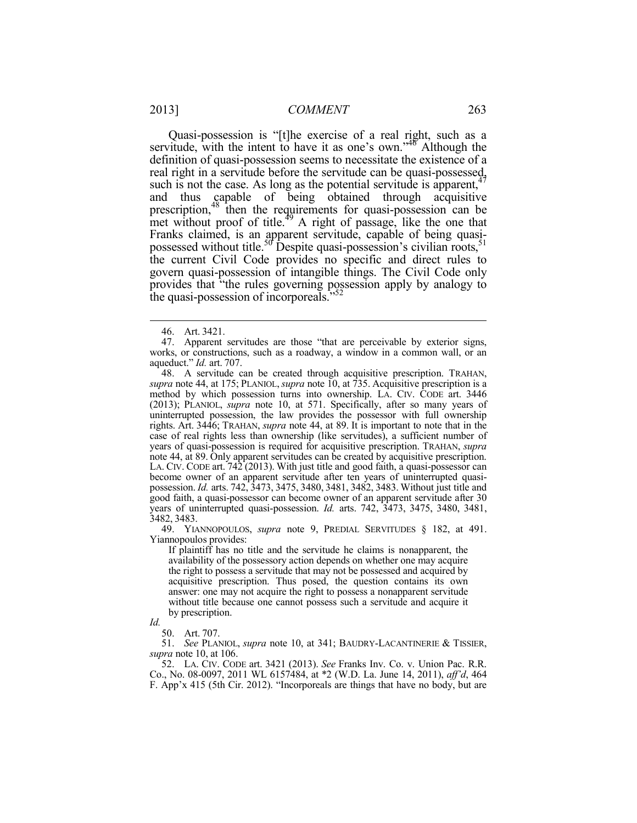Quasi-possession is "[t]he exercise of a real right, such as a servitude, with the intent to have it as one's own."<sup>46</sup> Although the definition of quasi-possession seems to necessitate the existence of a real right in a servitude before the servitude can be quasi-possessed, such is not the case. As long as the potential servitude is apparent,  $47$ and thus capable of being obtained through acquisitive prescription,<sup>48</sup> then the requirements for quasi-possession can be met without proof of title. $49$  A right of passage, like the one that Franks claimed, is an apparent servitude, capable of being quasipossessed without title.<sup>50</sup> Despite quasi-possession's civilian roots,<sup>51</sup> the current Civil Code provides no specific and direct rules to govern quasi-possession of intangible things. The Civil Code only provides that "the rules governing possession apply by analogy to the quasi-possession of incorporeals.<sup>552</sup>

1

 49. YIANNOPOULOS, *supra* note 9, PREDIAL SERVITUDES § 182, at 491. Yiannopoulos provides:

If plaintiff has no title and the servitude he claims is nonapparent, the availability of the possessory action depends on whether one may acquire the right to possess a servitude that may not be possessed and acquired by acquisitive prescription. Thus posed, the question contains its own answer: one may not acquire the right to possess a nonapparent servitude without title because one cannot possess such a servitude and acquire it by prescription.

*Id.* 

50. Art. 707.

 51. *See* PLANIOL, *supra* note 10, at 341; BAUDRY-LACANTINERIE & TISSIER, *supra* note 10, at 106.

 52. LA. CIV. CODE art. 3421 (2013). *See* Franks Inv. Co. v. Union Pac. R.R. Co., No. 08-0097, 2011 WL 6157484, at \*2 (W.D. La. June 14, 2011), *aff'd*, 464 F. App'x 415 (5th Cir. 2012). "Incorporeals are things that have no body, but are

 <sup>46.</sup> Art. 3421.

 <sup>47.</sup> Apparent servitudes are those "that are perceivable by exterior signs, works, or constructions, such as a roadway, a window in a common wall, or an aqueduct." *Id.* art. 707.

 <sup>48.</sup> A servitude can be created through acquisitive prescription. TRAHAN, *supra* note 44, at 175; PLANIOL, *supra* note 10, at 735. Acquisitive prescription is a method by which possession turns into ownership. LA. CIV. CODE art. 3446 (2013); PLANIOL, *supra* note 10, at 571. Specifically, after so many years of uninterrupted possession, the law provides the possessor with full ownership rights. Art. 3446; TRAHAN, *supra* note 44, at 89. It is important to note that in the case of real rights less than ownership (like servitudes), a sufficient number of years of quasi-possession is required for acquisitive prescription. TRAHAN, *supra*  note 44, at 89. Only apparent servitudes can be created by acquisitive prescription. LA. CIV. CODE art. 742 (2013). With just title and good faith, a quasi-possessor can become owner of an apparent servitude after ten years of uninterrupted quasipossession. *Id.* arts. 742, 3473, 3475, 3480, 3481, 3482, 3483. Without just title and good faith, a quasi-possessor can become owner of an apparent servitude after 30 years of uninterrupted quasi-possession. *Id.* arts. 742, 3473, 3475, 3480, 3481, 3482, 3483.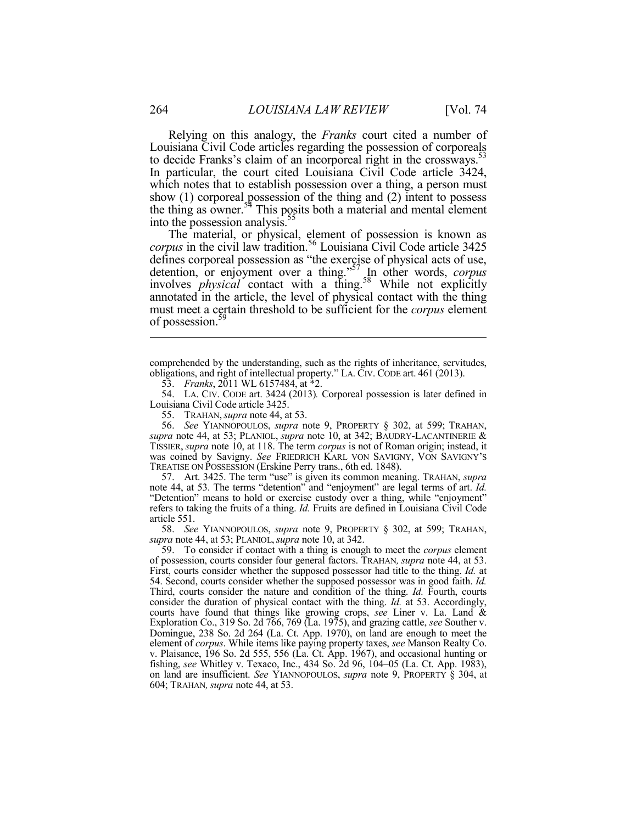Relying on this analogy, the *Franks* court cited a number of Louisiana Civil Code articles regarding the possession of corporeals to decide Franks's claim of an incorporeal right in the crossways.<sup>53</sup> In particular, the court cited Louisiana Civil Code article 3424, which notes that to establish possession over a thing, a person must show (1) corporeal possession of the thing and (2) intent to possess the thing as owner. $54$  This posits both a material and mental element into the possession analysis.<sup>55</sup>

The material, or physical, element of possession is known as *corpus* in the civil law tradition.56 Louisiana Civil Code article 3425 defines corporeal possession as "the exercise of physical acts of use, detention, or enjoyment over a thing."57 In other words, *corpus* involves *physical* contact with a thing.<sup>58</sup> While not explicitly annotated in the article, the level of physical contact with the thing must meet a certain threshold to be sufficient for the *corpus* element of possession.<sup>39</sup>

 57. Art. 3425. The term "use" is given its common meaning. TRAHAN, *supra* note 44, at 53. The terms "detention" and "enjoyment" are legal terms of art. *Id.* "Detention" means to hold or exercise custody over a thing, while "enjoyment" refers to taking the fruits of a thing. *Id.* Fruits are defined in Louisiana Civil Code article 551.

 58. *See* YIANNOPOULOS, *supra* note 9, PROPERTY § 302, at 599; TRAHAN, *supra* note 44, at 53; PLANIOL,*supra* note 10, at 342.

 59. To consider if contact with a thing is enough to meet the *corpus* element of possession, courts consider four general factors. TRAHAN*, supra* note 44, at 53. First, courts consider whether the supposed possessor had title to the thing. *Id.* at 54. Second, courts consider whether the supposed possessor was in good faith. *Id.*  Third, courts consider the nature and condition of the thing. *Id.* Fourth, courts consider the duration of physical contact with the thing. *Id.* at 53. Accordingly, courts have found that things like growing crops, *see* Liner v. La. Land & Exploration Co., 319 So. 2d 766, 769 (La. 1975), and grazing cattle, *see* Souther v. Domingue, 238 So. 2d 264 (La. Ct. App. 1970), on land are enough to meet the element of *corpus*. While items like paying property taxes, *see* Manson Realty Co. v. Plaisance, 196 So. 2d 555, 556 (La. Ct. App. 1967), and occasional hunting or fishing, *see* Whitley v. Texaco, Inc., 434 So. 2d 96, 104–05 (La. Ct. App. 1983), on land are insufficient. *See* YIANNOPOULOS, *supra* note 9, PROPERTY § 304, at 604; TRAHAN*,supra* note 44, at 53.

comprehended by the understanding, such as the rights of inheritance, servitudes, obligations, and right of intellectual property." LA. CIV. CODE art. 461 (2013).

 <sup>53.</sup> *Franks*, 2011 WL 6157484, at \*2.

 <sup>54.</sup> LA. CIV. CODE art. 3424 (2013)*.* Corporeal possession is later defined in Louisiana Civil Code article 3425.

 <sup>55.</sup> TRAHAN,*supra* note 44, at 53.

 <sup>56.</sup> *See* YIANNOPOULOS, *supra* note 9, PROPERTY § 302, at 599; TRAHAN, *supra* note 44, at 53; PLANIOL, *supra* note 10, at 342; BAUDRY-LACANTINERIE & TISSIER, *supra* note 10, at 118. The term *corpus* is not of Roman origin; instead, it was coined by Savigny. *See* FRIEDRICH KARL VON SAVIGNY, VON SAVIGNY'S TREATISE ON POSSESSION (Erskine Perry trans., 6th ed. 1848).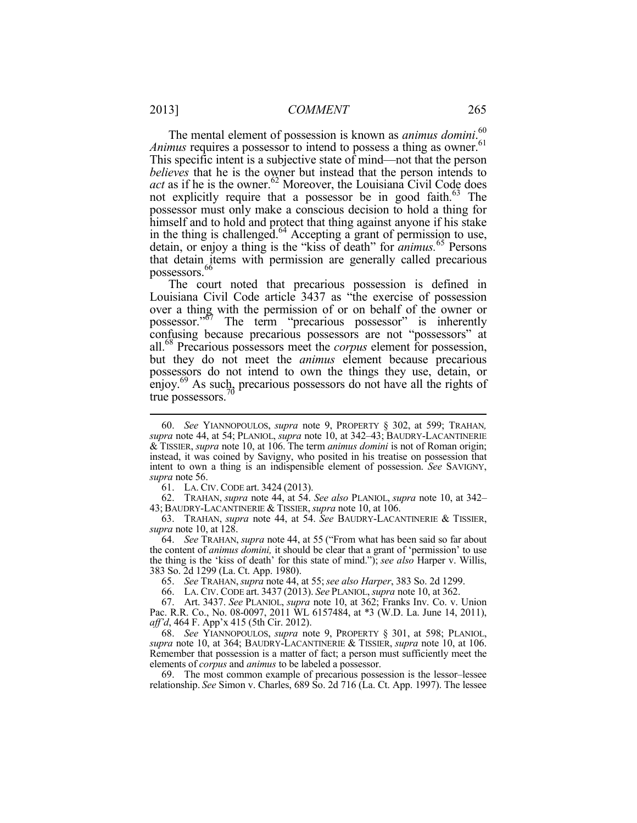The mental element of possession is known as *animus domini*. 60 *Animus* requires a possessor to intend to possess a thing as owner.<sup>61</sup> This specific intent is a subjective state of mind—not that the person *believes* that he is the owner but instead that the person intends to  $act$  as if he is the owner.<sup>62</sup> Moreover, the Louisiana Civil Code does not explicitly require that a possessor be in good faith.<sup>63</sup> The possessor must only make a conscious decision to hold a thing for himself and to hold and protect that thing against anyone if his stake in the thing is challenged.<sup>64</sup> Accepting a grant of permission to use, detain, or enjoy a thing is the "kiss of death" for *animus.*<sup>65</sup> Persons that detain items with permission are generally called precarious possessors.<sup>66</sup>

The court noted that precarious possession is defined in Louisiana Civil Code article 3437 as "the exercise of possession over a thing with the permission of or on behalf of the owner or possessor."<sup>67</sup> The term "precarious possessor" is inherently confusing because precarious possessors are not "possessors" at all.68 Precarious possessors meet the *corpus* element for possession, but they do not meet the *animus* element because precarious possessors do not intend to own the things they use, detain, or enjoy.<sup>69</sup> As such, precarious possessors do not have all the rights of true possessors.<sup>7</sup>

61. LA. CIV. CODE art. 3424 (2013).

 62. TRAHAN, *supra* note 44, at 54. *See also* PLANIOL, *supra* note 10, at 342– 43; BAUDRY-LACANTINERIE & TISSIER,*supra* note 10, at 106.

63. TRAHAN, *supra* note 44, at 54. *See* BAUDRY-LACANTINERIE & TISSIER, *supra* note 10, at 128.

 64. *See* TRAHAN, *supra* note 44, at 55 ("From what has been said so far about the content of *animus domini,* it should be clear that a grant of 'permission' to use the thing is the 'kiss of death' for this state of mind."); *see also* Harper v. Willis, 383 So. 2d 1299 (La. Ct. App. 1980).

65. *See* TRAHAN, *supra* note 44, at 55;*see also Harper*, 383 So. 2d 1299.

66. LA. CIV. CODE art. 3437 (2013). *See* PLANIOL, *supra* note 10, at 362.

 67. Art. 3437. *See* PLANIOL, *supra* note 10, at 362; Franks Inv. Co. v. Union Pac. R.R. Co., No. 08-0097, 2011 WL 6157484, at \*3 (W.D. La. June 14, 2011), *aff'd*, 464 F. App'x 415 (5th Cir. 2012).

 68. *See* YIANNOPOULOS, *supra* note 9, PROPERTY § 301, at 598; PLANIOL, *supra* note 10, at 364; BAUDRY-LACANTINERIE & TISSIER, *supra* note 10, at 106. Remember that possession is a matter of fact; a person must sufficiently meet the elements of *corpus* and *animus* to be labeled a possessor.

 69. The most common example of precarious possession is the lessor–lessee relationship. *See* Simon v. Charles, 689 So. 2d 716 (La. Ct. App. 1997). The lessee

 <sup>60.</sup> *See* YIANNOPOULOS, *supra* note 9, PROPERTY § 302, at 599; TRAHAN*, supra* note 44, at 54; PLANIOL, *supra* note 10, at 342–43; BAUDRY-LACANTINERIE & TISSIER, *supra* note 10, at 106. The term *animus domini* is not of Roman origin; instead, it was coined by Savigny, who posited in his treatise on possession that intent to own a thing is an indispensible element of possession. *See* SAVIGNY, *supra* note 56.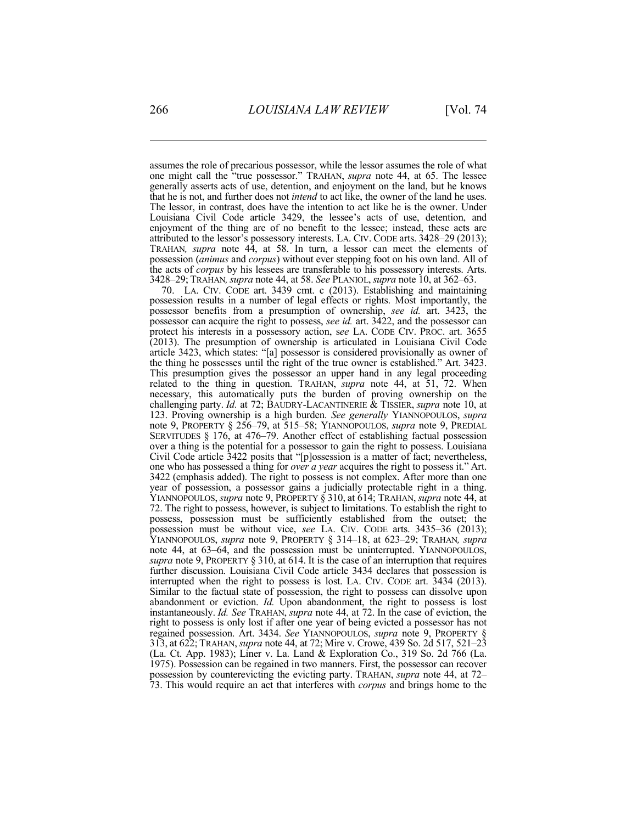assumes the role of precarious possessor, while the lessor assumes the role of what one might call the "true possessor." TRAHAN, *supra* note 44, at 65. The lessee generally asserts acts of use, detention, and enjoyment on the land, but he knows that he is not, and further does not *intend* to act like, the owner of the land he uses. The lessor, in contrast, does have the intention to act like he is the owner. Under Louisiana Civil Code article 3429, the lessee's acts of use, detention, and enjoyment of the thing are of no benefit to the lessee; instead, these acts are attributed to the lessor's possessory interests. LA. CIV. CODE arts. 3428*–*29 (2013); TRAHAN*, supra* note 44, at 58. In turn, a lessor can meet the elements of possession (*animus* and *corpus*) without ever stepping foot on his own land. All of the acts of *corpus* by his lessees are transferable to his possessory interests. Arts. 3428*–*29; TRAHAN*,supra* note 44, at 58. *See* PLANIOL,*supra* note 10, at 362–63.

 70. LA. CIV. CODE art. 3439 cmt. c (2013). Establishing and maintaining possession results in a number of legal effects or rights. Most importantly, the possessor benefits from a presumption of ownership, *see id.* art. 3423, the possessor can acquire the right to possess, *see id.* art. 3422, and the possessor can protect his interests in a possessory action, s*ee* LA. CODE CIV. PROC. art. 3655 (2013). The presumption of ownership is articulated in Louisiana Civil Code article 3423, which states: "[a] possessor is considered provisionally as owner of the thing he possesses until the right of the true owner is established." Art. 3423. This presumption gives the possessor an upper hand in any legal proceeding related to the thing in question. TRAHAN, *supra* note 44, at 51, 72. When necessary, this automatically puts the burden of proving ownership on the challenging party. *Id.* at 72; BAUDRY-LACANTINERIE & TISSIER, *supra* note 10, at 123. Proving ownership is a high burden. *See generally* YIANNOPOULOS, *supra*  note 9, PROPERTY § 256–79, at 515–58; YIANNOPOULOS, *supra* note 9, PREDIAL SERVITUDES § 176, at 476–79. Another effect of establishing factual possession over a thing is the potential for a possessor to gain the right to possess. Louisiana Civil Code article 3422 posits that "[p]ossession is a matter of fact; nevertheless, one who has possessed a thing for *over a year* acquires the right to possess it." Art. 3422 (emphasis added). The right to possess is not complex. After more than one year of possession, a possessor gains a judicially protectable right in a thing. YIANNOPOULOS, *supra* note 9, PROPERTY § 310, at 614; TRAHAN, *supra* note 44, at 72. The right to possess, however, is subject to limitations. To establish the right to possess, possession must be sufficiently established from the outset; the possession must be without vice, *see* LA. CIV. CODE arts. 3435–36 (2013); YIANNOPOULOS, *supra* note 9, PROPERTY § 314–18, at 623–29; TRAHAN, *supra* note 44, at 63–64, and the possession must be uninterrupted. YIANNOPOULOS, supra note 9, PROPERTY § 310, at 614. It is the case of an interruption that requires further discussion. Louisiana Civil Code article 3434 declares that possession is interrupted when the right to possess is lost. LA. CIV. CODE art. 3434 (2013). Similar to the factual state of possession, the right to possess can dissolve upon abandonment or eviction. *Id.* Upon abandonment, the right to possess is lost instantaneously. *Id. See* TRAHAN, *supra* note 44, at 72. In the case of eviction, the right to possess is only lost if after one year of being evicted a possessor has not regained possession. Art. 3434. *See* YIANNOPOULOS, *supra* note 9, PROPERTY § 313, at 622; TRAHAN, *supra* note 44, at 72; Mire v. Crowe, 439 So. 2d 517, 521–23 (La. Ct. App. 1983); Liner v. La. Land & Exploration Co., 319 So. 2d 766 (La. 1975). Possession can be regained in two manners. First, the possessor can recover possession by counterevicting the evicting party. TRAHAN, *supra* note 44, at 72– 73. This would require an act that interferes with *corpus* and brings home to the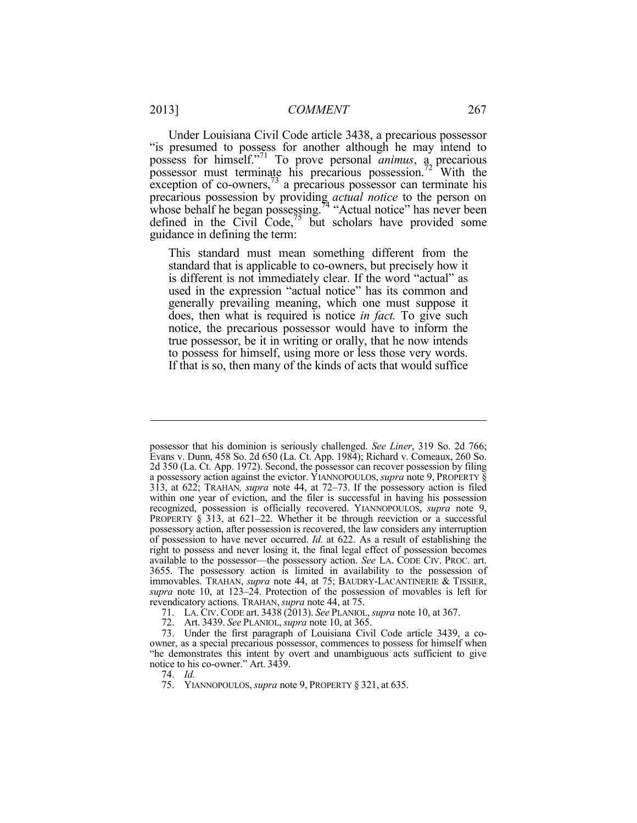Under Louisiana Civil Code article 3438, a precarious possessor "is presumed to possess for another although he may intend to possess for himself."71 To prove personal *animus*, a precarious possessor must terminate his precarious possession.<sup>72</sup> With the exception of co-owners, $73$  a precarious possessor can terminate his precarious possession by providing *actual notice* to the person on whose behalf he began possessing.<sup>74</sup> "Actual notice" has never been defined in the Civil Code,<sup>75</sup> but scholars have provided some guidance in defining the term:

This standard must mean something different from the standard that is applicable to co-owners, but precisely how it is different is not immediately clear. If the word "actual" as used in the expression "actual notice" has its common and generally prevailing meaning, which one must suppose it does, then what is required is notice *in fact.* To give such notice, the precarious possessor would have to inform the true possessor, be it in writing or orally, that he now intends to possess for himself, using more or less those very words. If that is so, then many of the kinds of acts that would suffice

possessor that his dominion is seriously challenged. *See Liner*, 319 So. 2d 766; Evans v. Dunn, 458 So. 2d 650 (La. Ct. App. 1984); Richard v. Comeaux, 260 So. 2d 350 (La. Ct. App. 1972). Second, the possessor can recover possession by filing a possessory action against the evictor. YIANNOPOULOS, *supra* note 9, PROPERTY § 313, at 622; TRAHAN*, supra* note 44, at 72–73. If the possessory action is filed within one year of eviction, and the filer is successful in having his possession recognized, possession is officially recovered. YIANNOPOULOS, *supra* note 9, PROPERTY § 313, at 621–22. Whether it be through reeviction or a successful possessory action, after possession is recovered, the law considers any interruption of possession to have never occurred. *Id.* at 622. As a result of establishing the right to possess and never losing it, the final legal effect of possession becomes available to the possessor—the possessory action. *See* LA. CODE CIV. PROC. art. 3655. The possessory action is limited in availability to the possession of immovables. TRAHAN, *supra* note 44, at 75; BAUDRY-LACANTINERIE & TISSIER, *supra* note 10, at 123–24. Protection of the possession of movables is left for revendicatory actions. TRAHAN,*supra* note 44, at 75.

 <sup>71.</sup> LA. CIV. CODE art. 3438 (2013). *See* PLANIOL, *supra* note 10, at 367.

 <sup>72.</sup> Art. 3439. *See* PLANIOL, *supra* note 10, at 365.

 <sup>73.</sup> Under the first paragraph of Louisiana Civil Code article 3439, a coowner, as a special precarious possessor, commences to possess for himself when "he demonstrates this intent by overt and unambiguous acts sufficient to give notice to his co-owner." Art. 3439.

 <sup>74.</sup> *Id.*

 <sup>75.</sup> YIANNOPOULOS, *supra* note 9, PROPERTY § 321, at 635.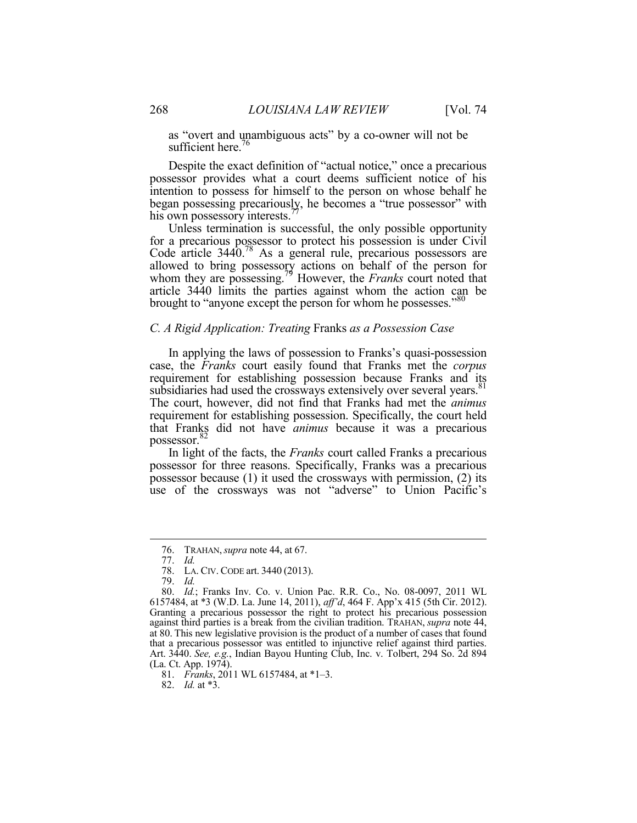as "overt and unambiguous acts" by a co-owner will not be sufficient here.<sup>76</sup>

Despite the exact definition of "actual notice," once a precarious possessor provides what a court deems sufficient notice of his intention to possess for himself to the person on whose behalf he began possessing precariously, he becomes a "true possessor" with his own possessory interests.<sup>7</sup>

Unless termination is successful, the only possible opportunity for a precarious possessor to protect his possession is under Civil Code article 3440.78 As a general rule, precarious possessors are allowed to bring possessory actions on behalf of the person for whom they are possessing.79 However, the *Franks* court noted that article 3440 limits the parties against whom the action can be brought to "anyone except the person for whom he possesses."<sup>80</sup>

#### *C. A Rigid Application: Treating* Franks *as a Possession Case*

In applying the laws of possession to Franks's quasi-possession case, the *Franks* court easily found that Franks met the *corpus*  requirement for establishing possession because Franks and its subsidiaries had used the crossways extensively over several years.<sup>81</sup> The court, however, did not find that Franks had met the *animus*  requirement for establishing possession. Specifically, the court held that Franks did not have *animus* because it was a precarious possessor.

In light of the facts, the *Franks* court called Franks a precarious possessor for three reasons. Specifically, Franks was a precarious possessor because (1) it used the crossways with permission, (2) its use of the crossways was not "adverse" to Union Pacific's

 <sup>76.</sup> TRAHAN,*supra* note 44, at 67.

 <sup>77.</sup> *Id.* 

 <sup>78.</sup> LA. CIV. CODE art. 3440 (2013).

 <sup>79.</sup> *Id.*

 <sup>80.</sup> *Id.*; Franks Inv. Co. v. Union Pac. R.R. Co., No. 08-0097, 2011 WL 6157484, at \*3 (W.D. La. June 14, 2011), *aff'd*, 464 F. App'x 415 (5th Cir. 2012). Granting a precarious possessor the right to protect his precarious possession against third parties is a break from the civilian tradition. TRAHAN, *supra* note 44, at 80. This new legislative provision is the product of a number of cases that found that a precarious possessor was entitled to injunctive relief against third parties. Art. 3440. *See, e.g.*, Indian Bayou Hunting Club, Inc. v. Tolbert, 294 So. 2d 894 (La. Ct. App. 1974).

 <sup>81.</sup> *Franks*, 2011 WL 6157484, at \*1–3.

 <sup>82.</sup> *Id.* at \*3.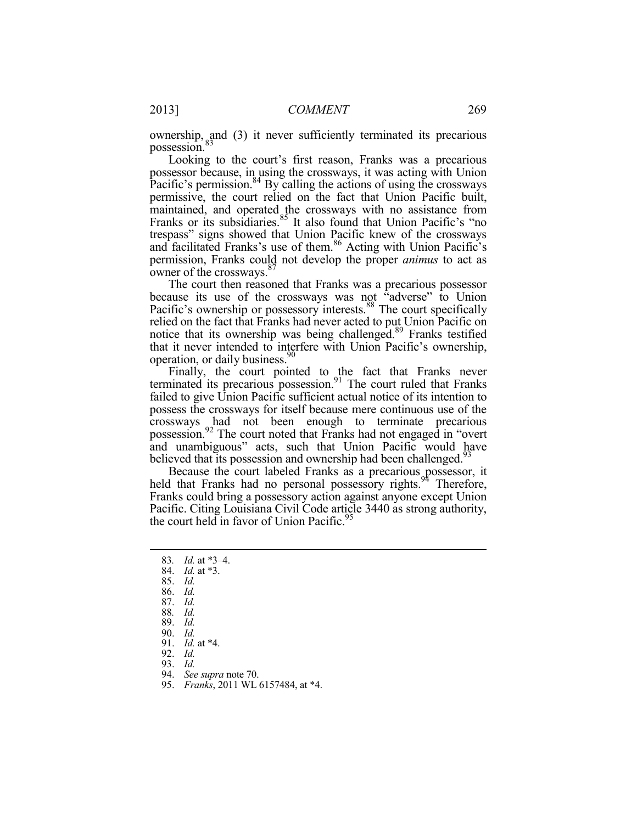ownership, and (3) it never sufficiently terminated its precarious possession.<sup>8</sup>

Looking to the court's first reason, Franks was a precarious possessor because, in using the crossways, it was acting with Union Pacific's permission. $84$  By calling the actions of using the crossways permissive, the court relied on the fact that Union Pacific built, maintained, and operated the crossways with no assistance from Franks or its subsidiaries.<sup>85</sup> It also found that Union Pacific's "no trespass" signs showed that Union Pacific knew of the crossways and facilitated Franks's use of them.<sup>86</sup> Acting with Union Pacific's permission, Franks could not develop the proper *animus* to act as owner of the crossways.<sup>8</sup>

The court then reasoned that Franks was a precarious possessor because its use of the crossways was not "adverse" to Union Pacific's ownership or possessory interests.<sup>88</sup> The court specifically relied on the fact that Franks had never acted to put Union Pacific on notice that its ownership was being challenged.89 Franks testified that it never intended to interfere with Union Pacific's ownership, operation, or daily business.<sup>90</sup>

Finally, the court pointed to the fact that Franks never terminated its precarious possession. $91$  The court ruled that Franks failed to give Union Pacific sufficient actual notice of its intention to possess the crossways for itself because mere continuous use of the crossways had not been enough to terminate precarious possession.<sup>92</sup> The court noted that Franks had not engaged in "overt and unambiguous" acts, such that Union Pacific would have believed that its possession and ownership had been challenged.<sup>93</sup>

Because the court labeled Franks as a precarious possessor, it held that Franks had no personal possessory rights.<sup>94</sup> Therefore, Franks could bring a possessory action against anyone except Union Pacific. Citing Louisiana Civil Code article 3440 as strong authority, the court held in favor of Union Pacific.<sup>95</sup>

- 84. *Id.* at \*3.
- 85. *Id.*
- 86. *Id.* 
	- 87. *Id.*

93. *Id.* 

 <sup>83</sup>*. Id.* at \*3–4.

<sup>88</sup>*. Id.* 

 <sup>89.</sup> *Id.* 

 <sup>90.</sup> *Id.* 

 <sup>91.</sup> *Id.* at \*4.

 <sup>92.</sup> *Id.*

 <sup>94.</sup> *See supra* note 70.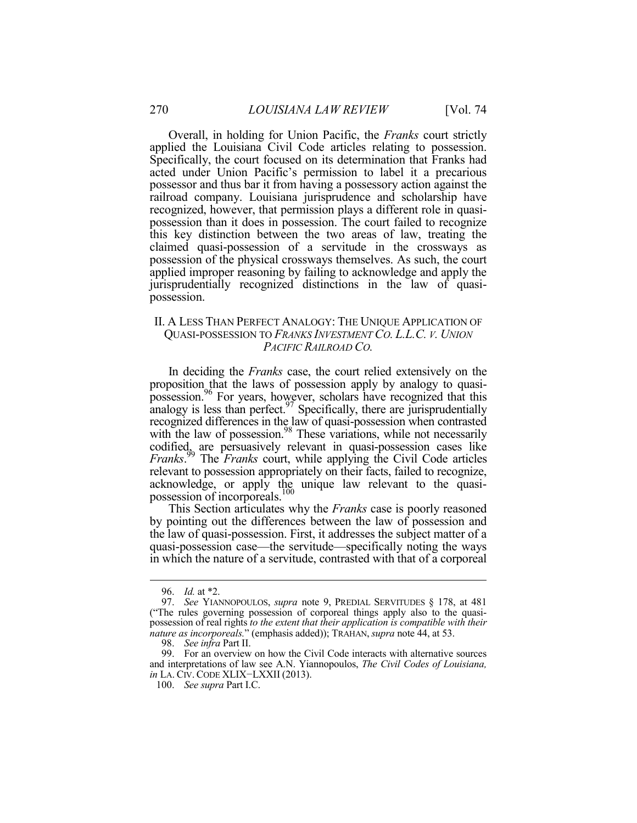Overall, in holding for Union Pacific, the *Franks* court strictly applied the Louisiana Civil Code articles relating to possession. Specifically, the court focused on its determination that Franks had acted under Union Pacific's permission to label it a precarious possessor and thus bar it from having a possessory action against the railroad company. Louisiana jurisprudence and scholarship have recognized, however, that permission plays a different role in quasipossession than it does in possession. The court failed to recognize this key distinction between the two areas of law, treating the claimed quasi-possession of a servitude in the crossways as possession of the physical crossways themselves. As such, the court applied improper reasoning by failing to acknowledge and apply the jurisprudentially recognized distinctions in the law of quasipossession.

#### II. A LESS THAN PERFECT ANALOGY: THE UNIQUE APPLICATION OF QUASI-POSSESSION TO *FRANKS INVESTMENT CO. L.L.C. V. UNION PACIFIC RAILROAD CO.*

In deciding the *Franks* case, the court relied extensively on the proposition that the laws of possession apply by analogy to quasipossession.<sup>96</sup> For years, however, scholars have recognized that this analogy is less than perfect.  $97$  Specifically, there are jurisprudentially recognized differences in the law of quasi-possession when contrasted with the law of possession.<sup>98</sup> These variations, while not necessarily codified, are persuasively relevant in quasi-possession cases like *Franks*. 99 The *Franks* court, while applying the Civil Code articles relevant to possession appropriately on their facts, failed to recognize, acknowledge, or apply the unique law relevant to the quasipossession of incorporeals.<sup>100</sup>

This Section articulates why the *Franks* case is poorly reasoned by pointing out the differences between the law of possession and the law of quasi-possession. First, it addresses the subject matter of a quasi-possession case—the servitude—specifically noting the ways in which the nature of a servitude, contrasted with that of a corporeal

 <sup>96.</sup> *Id.* at \*2.

 <sup>97.</sup> *See* YIANNOPOULOS, *supra* note 9, PREDIAL SERVITUDES § 178, at 481 ("The rules governing possession of corporeal things apply also to the quasipossession of real rights *to the extent that their application is compatible with their nature as incorporeals.*" (emphasis added)); TRAHAN, *supra* note 44, at 53.

 <sup>98.</sup> *See infra* Part II.

 <sup>99.</sup> For an overview on how the Civil Code interacts with alternative sources and interpretations of law see A.N. Yiannopoulos, *The Civil Codes of Louisiana, in* LA. CIV. CODE XLIX-LXXII (2013).

 <sup>100.</sup> *See supra* Part I.C.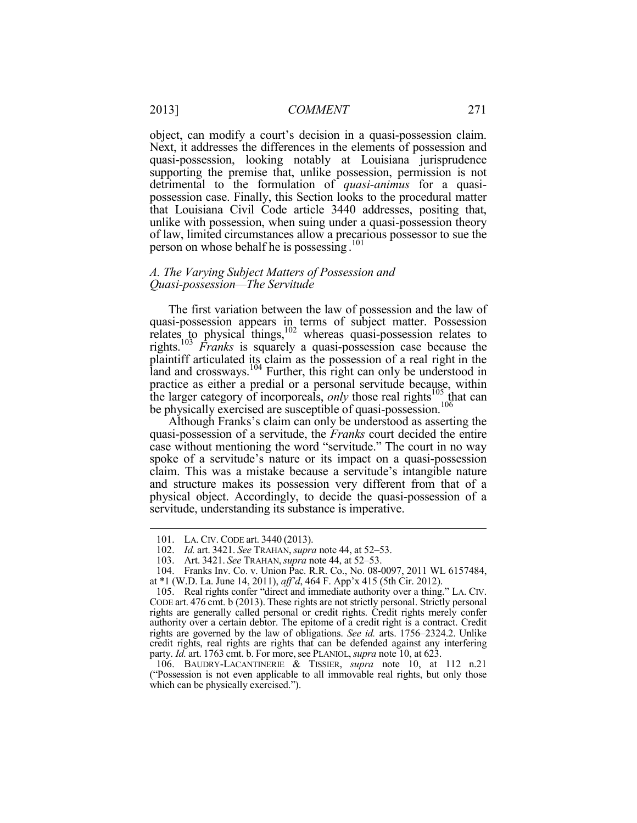object, can modify a court's decision in a quasi-possession claim. Next, it addresses the differences in the elements of possession and quasi-possession, looking notably at Louisiana jurisprudence supporting the premise that, unlike possession, permission is not detrimental to the formulation of *quasi-animus* for a quasipossession case. Finally, this Section looks to the procedural matter that Louisiana Civil Code article 3440 addresses, positing that, unlike with possession, when suing under a quasi-possession theory of law, limited circumstances allow a precarious possessor to sue the person on whose behalf he is possessing . 101

#### *A. The Varying Subject Matters of Possession and Quasi-possession—The Servitude*

The first variation between the law of possession and the law of quasi-possession appears in terms of subject matter. Possession relates to physical things, $102$  whereas quasi-possession relates to rights.103 *Franks* is squarely a quasi-possession case because the plaintiff articulated its claim as the possession of a real right in the land and crossways. $104$  Further, this right can only be understood in practice as either a predial or a personal servitude because, within the larger category of incorporeals, *only* those real rights<sup>105</sup> that can be physically exercised are susceptible of quasi-possession.<sup>106</sup>

Although Franks's claim can only be understood as asserting the quasi-possession of a servitude, the *Franks* court decided the entire case without mentioning the word "servitude." The court in no way spoke of a servitude's nature or its impact on a quasi-possession claim. This was a mistake because a servitude's intangible nature and structure makes its possession very different from that of a physical object. Accordingly, to decide the quasi-possession of a servitude, understanding its substance is imperative.

 <sup>101.</sup> LA. CIV. CODE art. 3440 (2013).

 <sup>102.</sup> *Id.* art. 3421. *See* TRAHAN, *supra* note 44, at 52–53.

 <sup>103.</sup> Art. 3421. *See* TRAHAN,*supra* note 44, at 52–53.

 <sup>104.</sup> Franks Inv. Co. v. Union Pac. R.R. Co., No. 08-0097, 2011 WL 6157484, at \*1 (W.D. La. June 14, 2011), *aff'd*, 464 F. App'x 415 (5th Cir. 2012).

 <sup>105.</sup> Real rights confer "direct and immediate authority over a thing." LA. CIV. CODE art. 476 cmt. b (2013). These rights are not strictly personal. Strictly personal rights are generally called personal or credit rights. Credit rights merely confer authority over a certain debtor. The epitome of a credit right is a contract. Credit rights are governed by the law of obligations. *See id.* arts. 1756–2324.2. Unlike credit rights, real rights are rights that can be defended against any interfering party. *Id.* art. 1763 cmt. b. For more, see PLANIOL, *supra* note 10, at 623.

 <sup>106.</sup> BAUDRY-LACANTINERIE & TISSIER, *supra* note 10, at 112 n.21 ("Possession is not even applicable to all immovable real rights, but only those which can be physically exercised.").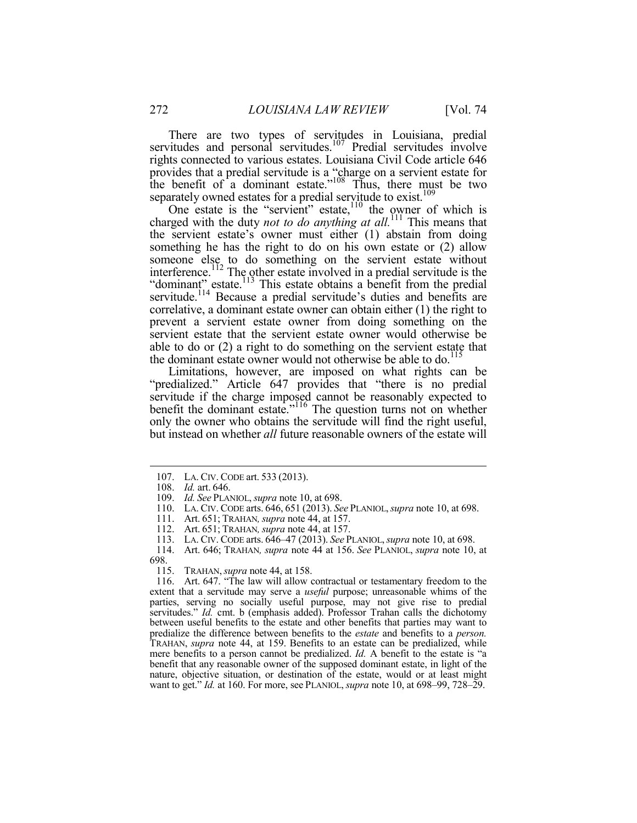There are two types of servitudes in Louisiana, predial servitudes and personal servitudes.<sup>107</sup> Predial servitudes involve rights connected to various estates. Louisiana Civil Code article 646 provides that a predial servitude is a "charge on a servient estate for the benefit of a dominant estate."<sup>108</sup> Thus, there must be two separately owned estates for a predial servitude to exist.<sup>109</sup>

One estate is the "servient" estate, $110$  the owner of which is charged with the duty *not to do anything at all.*<sup>111</sup> This means that the servient estate's owner must either (1) abstain from doing something he has the right to do on his own estate or (2) allow someone else to do something on the servient estate without interference.<sup>112</sup> The other estate involved in a predial servitude is the "dominant" estate.<sup>113</sup> This estate obtains a benefit from the predial servitude.<sup>114</sup> Because a predial servitude's duties and benefits are correlative, a dominant estate owner can obtain either (1) the right to prevent a servient estate owner from doing something on the servient estate that the servient estate owner would otherwise be able to do or (2) a right to do something on the servient estate that the dominant estate owner would not otherwise be able to do.<sup>115</sup>

Limitations, however, are imposed on what rights can be "predialized." Article 647 provides that "there is no predial servitude if the charge imposed cannot be reasonably expected to benefit the dominant estate."116 The question turns not on whether only the owner who obtains the servitude will find the right useful, but instead on whether *all* future reasonable owners of the estate will

 <sup>107.</sup> LA. CIV. CODE art. 533 (2013).

 <sup>108.</sup> *Id.* art. 646.

 <sup>109.</sup> *Id. See* PLANIOL, *supra* note 10, at 698.

 <sup>110.</sup> LA. CIV. CODE arts. 646, 651 (2013). *See* PLANIOL,*supra* note 10, at 698.

 <sup>111.</sup> Art. 651; TRAHAN*,supra* note 44, at 157.

 <sup>112.</sup> Art. 651; TRAHAN*,supra* note 44, at 157.

 <sup>113.</sup> LA. CIV. CODE arts. 646–47 (2013). *See* PLANIOL,*supra* note 10, at 698.

 <sup>114.</sup> Art. 646; TRAHAN*, supra* note 44 at 156. *See* PLANIOL, *supra* note 10, at 698.

 <sup>115.</sup> TRAHAN,*supra* note 44, at 158.

 <sup>116.</sup> Art. 647. "The law will allow contractual or testamentary freedom to the extent that a servitude may serve a *useful* purpose; unreasonable whims of the parties, serving no socially useful purpose, may not give rise to predial servitudes." *Id.* cmt. b (emphasis added). Professor Trahan calls the dichotomy between useful benefits to the estate and other benefits that parties may want to predialize the difference between benefits to the *estate* and benefits to a *person.*  TRAHAN, *supra* note 44, at 159. Benefits to an estate can be predialized, while mere benefits to a person cannot be predialized. *Id.* A benefit to the estate is "a benefit that any reasonable owner of the supposed dominant estate, in light of the nature, objective situation, or destination of the estate, would or at least might want to get." *Id.* at 160. For more, see PLANIOL, *supra* note 10, at 698–99, 728–29.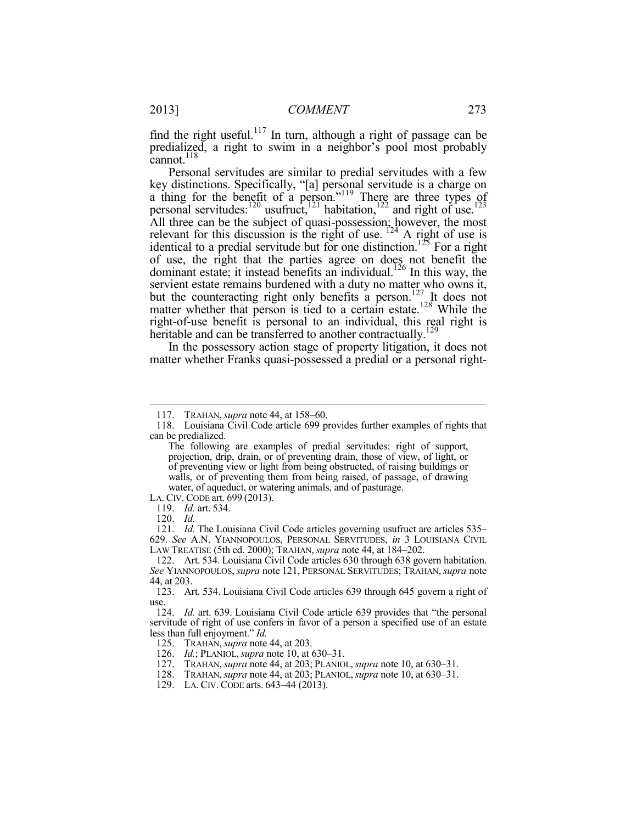find the right useful.<sup>117</sup> In turn, although a right of passage can be predialized, a right to swim in a neighbor's pool most probably cannot.<sup>118</sup>

Personal servitudes are similar to predial servitudes with a few key distinctions. Specifically, "[a] personal servitude is a charge on a thing for the benefit of a person."<sup>119</sup> There are three types of personal servitudes: $120$  usufruct, $121$  habitation, $122$  and right of use.<sup>123</sup> All three can be the subject of quasi-possession; however, the most relevant for this discussion is the right of use.  $124$  A right of use is identical to a predial servitude but for one distinction.<sup>125</sup> For a right of use, the right that the parties agree on does not benefit the dominant estate; it instead benefits an individual.<sup>126</sup> In this way, the servient estate remains burdened with a duty no matter who owns it, but the counteracting right only benefits a person.<sup>127</sup> It does not matter whether that person is tied to a certain estate.<sup>128</sup> While the right-of-use benefit is personal to an individual, this real right is heritable and can be transferred to another contractually.<sup>129</sup>

In the possessory action stage of property litigation, it does not matter whether Franks quasi-possessed a predial or a personal right-

LA. CIV. CODE art. 699 (2013).

 <sup>117.</sup> TRAHAN,*supra* note 44, at 158–60.

 <sup>118.</sup> Louisiana Civil Code article 699 provides further examples of rights that can be predialized.

The following are examples of predial servitudes: right of support, projection, drip, drain, or of preventing drain, those of view, of light, or of preventing view or light from being obstructed, of raising buildings or walls, or of preventing them from being raised, of passage, of drawing water, of aqueduct, or watering animals, and of pasturage.

 <sup>119.</sup> *Id.* art. 534.

 <sup>120.</sup> *Id.* 

 <sup>121.</sup> *Id.* The Louisiana Civil Code articles governing usufruct are articles 535– 629. *See* A.N. YIANNOPOULOS, PERSONAL SERVITUDES, *in* 3 LOUISIANA CIVIL LAW TREATISE (5th ed. 2000); TRAHAN,*supra* note 44, at 184–202.

 <sup>122.</sup> Art. 534. Louisiana Civil Code articles 630 through 638 govern habitation. *See* YIANNOPOULOS, *supra* note 121, PERSONAL SERVITUDES; TRAHAN, *supra* note 44, at 203.

 <sup>123.</sup> Art. 534. Louisiana Civil Code articles 639 through 645 govern a right of use.

 <sup>124.</sup> *Id.* art. 639. Louisiana Civil Code article 639 provides that "the personal servitude of right of use confers in favor of a person a specified use of an estate less than full enjoyment." *Id.* 

 <sup>125.</sup> TRAHAN,*supra* note 44, at 203.

 <sup>126.</sup> *Id.*; PLANIOL,*supra* note 10, at 630–31.

 <sup>127.</sup> TRAHAN,*supra* note 44, at 203; PLANIOL,*supra* note 10, at 630–31.

 <sup>128.</sup> TRAHAN,*supra* note 44, at 203; PLANIOL,*supra* note 10, at 630–31.

 <sup>129.</sup> LA. CIV. CODE arts. 643–44 (2013).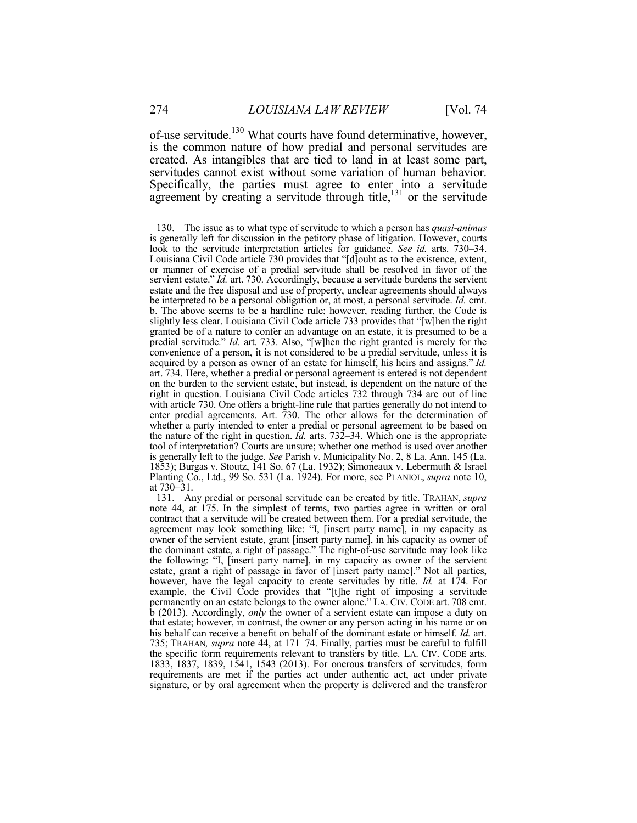of-use servitude.<sup>130</sup> What courts have found determinative, however, is the common nature of how predial and personal servitudes are created. As intangibles that are tied to land in at least some part, servitudes cannot exist without some variation of human behavior. Specifically, the parties must agree to enter into a servitude agreement by creating a servitude through title, $131$  or the servitude

 <sup>130.</sup> The issue as to what type of servitude to which a person has *quasi-animus*  is generally left for discussion in the petitory phase of litigation. However, courts look to the servitude interpretation articles for guidance. *See id.* arts. 730–34. Louisiana Civil Code article 730 provides that "[d]oubt as to the existence, extent, or manner of exercise of a predial servitude shall be resolved in favor of the servient estate." *Id.* art. 730. Accordingly, because a servitude burdens the servient estate and the free disposal and use of property, unclear agreements should always be interpreted to be a personal obligation or, at most, a personal servitude. *Id.* cmt. b. The above seems to be a hardline rule; however, reading further, the Code is slightly less clear. Louisiana Civil Code article 733 provides that "[w]hen the right granted be of a nature to confer an advantage on an estate, it is presumed to be a predial servitude." *Id.* art. 733. Also, "[w]hen the right granted is merely for the convenience of a person, it is not considered to be a predial servitude, unless it is acquired by a person as owner of an estate for himself, his heirs and assigns." *Id.* art. 734. Here, whether a predial or personal agreement is entered is not dependent on the burden to the servient estate, but instead, is dependent on the nature of the right in question. Louisiana Civil Code articles 732 through 734 are out of line with article 730. One offers a bright-line rule that parties generally do not intend to enter predial agreements. Art. 730. The other allows for the determination of whether a party intended to enter a predial or personal agreement to be based on the nature of the right in question. *Id.* arts. 732–34. Which one is the appropriate tool of interpretation? Courts are unsure; whether one method is used over another is generally left to the judge. *See* Parish v. Municipality No. 2, 8 La. Ann. 145 (La. 1853); Burgas v. Stoutz, 141 So. 67 (La. 1932); Simoneaux v. Lebermuth & Israel Planting Co., Ltd., 99 So. 531 (La. 1924). For more, see PLANIOL, *supra* note 10, at 730−31.

 <sup>131.</sup> Any predial or personal servitude can be created by title. TRAHAN, *supra*  note 44, at 175. In the simplest of terms, two parties agree in written or oral contract that a servitude will be created between them. For a predial servitude, the agreement may look something like: "I, [insert party name], in my capacity as owner of the servient estate, grant [insert party name], in his capacity as owner of the dominant estate, a right of passage." The right-of-use servitude may look like the following: "I, [insert party name], in my capacity as owner of the servient estate, grant a right of passage in favor of [insert party name]." Not all parties, however, have the legal capacity to create servitudes by title. *Id.* at 174. For example, the Civil Code provides that "[t]he right of imposing a servitude permanently on an estate belongs to the owner alone." LA. CIV. CODE art. 708 cmt. b (2013). Accordingly, *only* the owner of a servient estate can impose a duty on that estate; however, in contrast, the owner or any person acting in his name or on his behalf can receive a benefit on behalf of the dominant estate or himself. *Id.* art. 735; TRAHAN*, supra* note 44, at 171–74. Finally, parties must be careful to fulfill the specific form requirements relevant to transfers by title. LA. CIV. CODE arts. 1833, 1837, 1839, 1541, 1543 (2013). For onerous transfers of servitudes, form requirements are met if the parties act under authentic act, act under private signature, or by oral agreement when the property is delivered and the transferor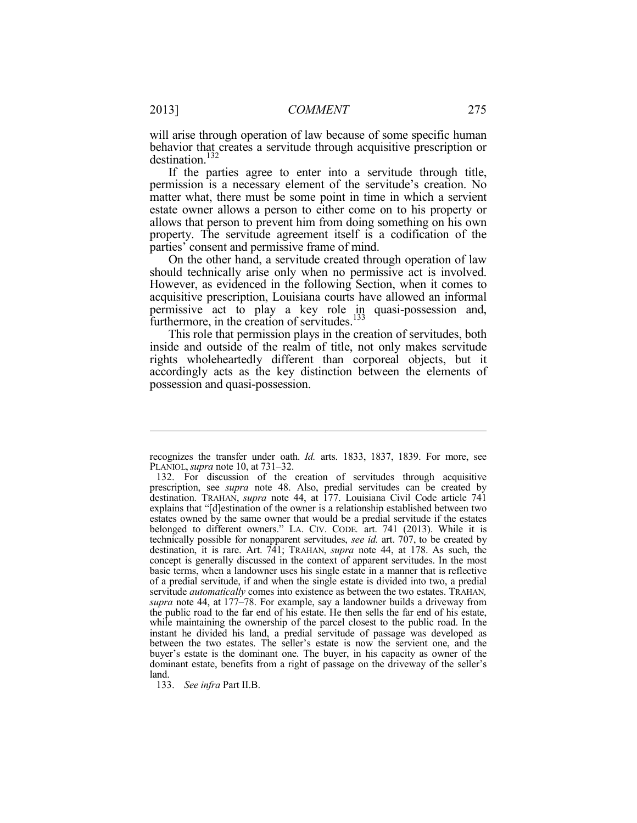will arise through operation of law because of some specific human behavior that creates a servitude through acquisitive prescription or destination.<sup>132</sup>

If the parties agree to enter into a servitude through title, permission is a necessary element of the servitude's creation. No matter what, there must be some point in time in which a servient estate owner allows a person to either come on to his property or allows that person to prevent him from doing something on his own property. The servitude agreement itself is a codification of the parties' consent and permissive frame of mind.

On the other hand, a servitude created through operation of law should technically arise only when no permissive act is involved. However, as evidenced in the following Section, when it comes to acquisitive prescription, Louisiana courts have allowed an informal permissive act to play a key role in quasi-possession and, furthermore, in the creation of servitudes. $133$ 

This role that permission plays in the creation of servitudes, both inside and outside of the realm of title, not only makes servitude rights wholeheartedly different than corporeal objects, but it accordingly acts as the key distinction between the elements of possession and quasi-possession.

recognizes the transfer under oath. *Id.* arts. 1833, 1837, 1839. For more, see PLANIOL,*supra* note 10, at 731–32.

 <sup>132.</sup> For discussion of the creation of servitudes through acquisitive prescription, see *supra* note 48. Also, predial servitudes can be created by destination. TRAHAN, *supra* note 44, at 177. Louisiana Civil Code article 741 explains that "[d]estination of the owner is a relationship established between two estates owned by the same owner that would be a predial servitude if the estates belonged to different owners." LA. CIV. CODE*.* art. 741 (2013). While it is technically possible for nonapparent servitudes, *see id.* art. 707, to be created by destination, it is rare. Art. 741; TRAHAN, *supra* note 44, at 178. As such, the concept is generally discussed in the context of apparent servitudes. In the most basic terms, when a landowner uses his single estate in a manner that is reflective of a predial servitude, if and when the single estate is divided into two, a predial servitude *automatically* comes into existence as between the two estates. TRAHAN*, supra* note 44, at 177–78. For example, say a landowner builds a driveway from the public road to the far end of his estate. He then sells the far end of his estate, while maintaining the ownership of the parcel closest to the public road. In the instant he divided his land, a predial servitude of passage was developed as between the two estates. The seller's estate is now the servient one, and the buyer's estate is the dominant one. The buyer, in his capacity as owner of the dominant estate, benefits from a right of passage on the driveway of the seller's land.

 <sup>133.</sup> *See infra* Part II.B.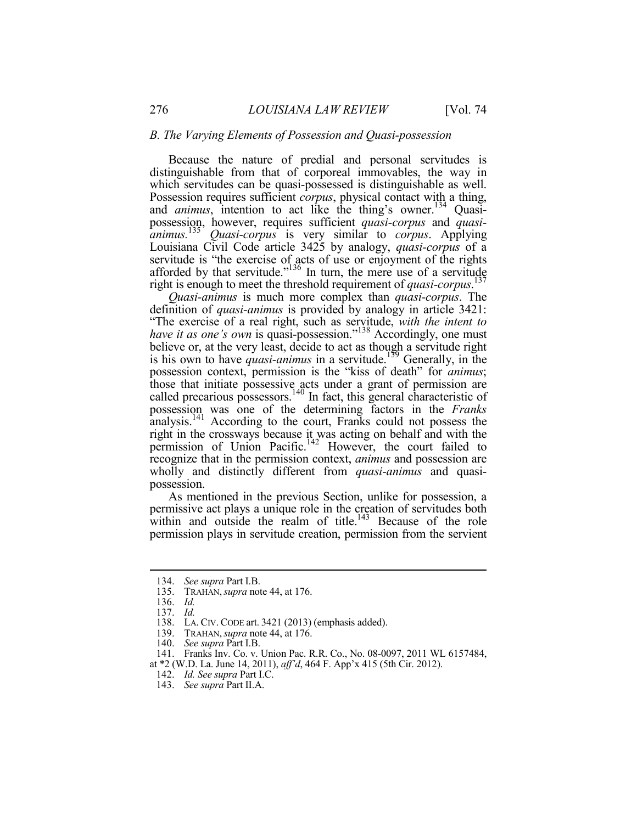#### *B. The Varying Elements of Possession and Quasi-possession*

Because the nature of predial and personal servitudes is distinguishable from that of corporeal immovables, the way in which servitudes can be quasi-possessed is distinguishable as well. Possession requires sufficient *corpus*, physical contact with a thing, and *animus*, intention to act like the thing's owner.<sup>134</sup> Quasipossession, however, requires sufficient *quasi-corpus* and *quasianimus.*<sup>135</sup> *Quasi-corpus* is very similar to *corpus*. Applying Louisiana Civil Code article 3425 by analogy, *quasi-corpus* of a servitude is "the exercise of acts of use or enjoyment of the rights afforded by that servitude." $136$  In turn, the mere use of a servitude right is enough to meet the threshold requirement of *quasi-corpus*. 137

*Quasi-animus* is much more complex than *quasi-corpus*. The definition of *quasi-animus* is provided by analogy in article 3421: "The exercise of a real right, such as servitude, *with the intent to have it as one's own* is quasi-possession."<sup>138</sup> Accordingly, one must believe or, at the very least, decide to act as though a servitude right is his own to have *quasi-animus* in a servitude.139 Generally, in the possession context, permission is the "kiss of death" for *animus*; those that initiate possessive acts under a grant of permission are called precarious possessors.<sup>140</sup> In fact, this general characteristic of possession was one of the determining factors in the *Franks*  analysis.<sup>141</sup> According to the court, Franks could not possess the right in the crossways because it was acting on behalf and with the permission of Union Pacific.<sup>142</sup> However, the court failed to recognize that in the permission context, *animus* and possession are wholly and distinctly different from *quasi-animus* and quasipossession.

As mentioned in the previous Section, unlike for possession, a permissive act plays a unique role in the creation of servitudes both within and outside the realm of title.<sup>143</sup> Because of the role permission plays in servitude creation, permission from the servient

 <sup>134.</sup> *See supra* Part I.B.

 <sup>135.</sup> TRAHAN,*supra* note 44, at 176.

 <sup>136.</sup> *Id.* 

 <sup>137.</sup> *Id.*

 <sup>138.</sup> LA. CIV. CODE art. 3421 (2013) (emphasis added).

 <sup>139.</sup> TRAHAN,*supra* note 44, at 176.

 <sup>140.</sup> *See supra* Part I.B.

 <sup>141.</sup> Franks Inv. Co. v. Union Pac. R.R. Co., No. 08-0097, 2011 WL 6157484, at \*2 (W.D. La. June 14, 2011), *aff'd*, 464 F. App'x 415 (5th Cir. 2012).

 <sup>142.</sup> *Id. See supra* Part I.C.

 <sup>143.</sup> *See supra* Part II.A.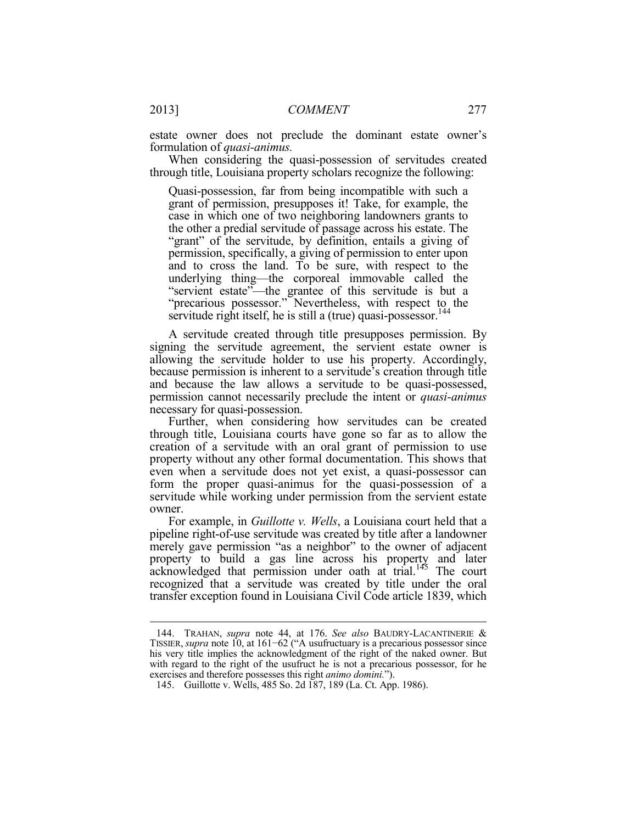estate owner does not preclude the dominant estate owner's formulation of *quasi-animus.* 

When considering the quasi-possession of servitudes created through title, Louisiana property scholars recognize the following:

Quasi-possession, far from being incompatible with such a grant of permission, presupposes it! Take, for example, the case in which one of two neighboring landowners grants to the other a predial servitude of passage across his estate. The "grant" of the servitude, by definition, entails a giving of permission, specifically, a giving of permission to enter upon and to cross the land. To be sure, with respect to the underlying thing—the corporeal immovable called the "servient estate"—the grantee of this servitude is but a "precarious possessor." Nevertheless, with respect to the servitude right itself, he is still a (true) quasi-possessor.<sup>14</sup>

A servitude created through title presupposes permission. By signing the servitude agreement, the servient estate owner is allowing the servitude holder to use his property. Accordingly, because permission is inherent to a servitude's creation through title and because the law allows a servitude to be quasi-possessed, permission cannot necessarily preclude the intent or *quasi-animus*  necessary for quasi-possession.

Further, when considering how servitudes can be created through title, Louisiana courts have gone so far as to allow the creation of a servitude with an oral grant of permission to use property without any other formal documentation. This shows that even when a servitude does not yet exist, a quasi-possessor can form the proper quasi-animus for the quasi-possession of a servitude while working under permission from the servient estate owner.

For example, in *Guillotte v. Wells*, a Louisiana court held that a pipeline right-of-use servitude was created by title after a landowner merely gave permission "as a neighbor" to the owner of adjacent property to build a gas line across his property and later acknowledged that permission under oath at trial.<sup>145</sup> The court recognized that a servitude was created by title under the oral transfer exception found in Louisiana Civil Code article 1839, which

 <sup>144.</sup> TRAHAN, *supra* note 44, at 176. *See also* BAUDRY-LACANTINERIE & TISSIER, *supra* note 10, at 161−62 ("A usufructuary is a precarious possessor since his very title implies the acknowledgment of the right of the naked owner. But with regard to the right of the usufruct he is not a precarious possessor, for he exercises and therefore possesses this right *animo domini.*").

 <sup>145.</sup> Guillotte v. Wells, 485 So. 2d 187, 189 (La. Ct. App. 1986).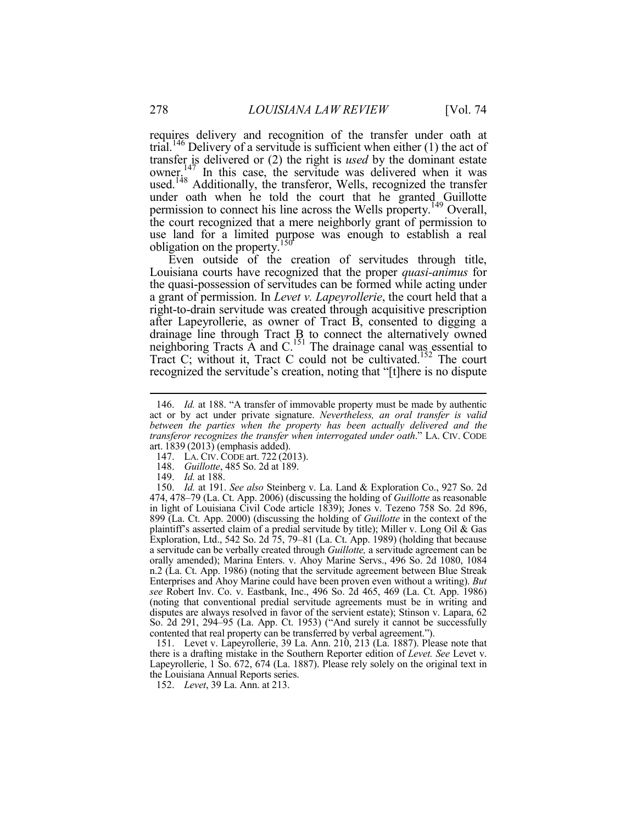requires delivery and recognition of the transfer under oath at trial.<sup>146</sup> Delivery of a servitude is sufficient when either  $(1)$  the act of transfer is delivered or (2) the right is *used* by the dominant estate owner.<sup>147</sup> In this case, the servitude was delivered when it was used.<sup>148</sup> Additionally, the transferor, Wells, recognized the transfer under oath when he told the court that he granted Guillotte permission to connect his line across the Wells property.149 Overall, the court recognized that a mere neighborly grant of permission to use land for a limited purpose was enough to establish a real obligation on the property.<sup>150</sup>

Even outside of the creation of servitudes through title, Louisiana courts have recognized that the proper *quasi-animus* for the quasi-possession of servitudes can be formed while acting under a grant of permission. In *Levet v. Lapeyrollerie*, the court held that a right-to-drain servitude was created through acquisitive prescription after Lapeyrollerie, as owner of Tract B, consented to digging a drainage line through Tract B to connect the alternatively owned neighboring Tracts A and C.<sup>151</sup> The drainage canal was essential to Tract C; without it, Tract C could not be cultivated.152 The court recognized the servitude's creation, noting that "[t]here is no dispute

149. *Id.* at 188.

1

 151. Levet v. Lapeyrollerie, 39 La. Ann. 210, 213 (La. 1887). Please note that there is a drafting mistake in the Southern Reporter edition of *Levet. See* Levet v. Lapeyrollerie, 1 So. 672, 674 (La. 1887). Please rely solely on the original text in the Louisiana Annual Reports series.

152. *Levet*, 39 La. Ann. at 213.

<sup>146.</sup> *Id.* at 188. "A transfer of immovable property must be made by authentic act or by act under private signature. *Nevertheless, an oral transfer is valid between the parties when the property has been actually delivered and the transferor recognizes the transfer when interrogated under oath*." LA. CIV. CODE art. 1839 (2013) (emphasis added).

<sup>147.</sup> LA. CIV. CODE art. 722 (2013).

 <sup>148.</sup> *Guillotte*, 485 So. 2d at 189.

 <sup>150.</sup> *Id.* at 191. *See also* Steinberg v. La. Land & Exploration Co., 927 So. 2d 474, 478–79 (La. Ct. App. 2006) (discussing the holding of *Guillotte* as reasonable in light of Louisiana Civil Code article 1839); Jones v. Tezeno 758 So. 2d 896, 899 (La. Ct. App. 2000) (discussing the holding of *Guillotte* in the context of the plaintiff's asserted claim of a predial servitude by title); Miller v. Long Oil & Gas Exploration, Ltd., 542 So. 2d 75, 79–81 (La. Ct. App. 1989) (holding that because a servitude can be verbally created through *Guillotte,* a servitude agreement can be orally amended); Marina Enters. v. Ahoy Marine Servs., 496 So. 2d 1080, 1084 n.2 (La. Ct. App. 1986) (noting that the servitude agreement between Blue Streak Enterprises and Ahoy Marine could have been proven even without a writing). *But see* Robert Inv. Co. v. Eastbank, Inc., 496 So. 2d 465, 469 (La. Ct. App. 1986) (noting that conventional predial servitude agreements must be in writing and disputes are always resolved in favor of the servient estate); Stinson v. Lapara, 62 So. 2d 291, 294–95 (La. App. Ct. 1953) ("And surely it cannot be successfully contented that real property can be transferred by verbal agreement.").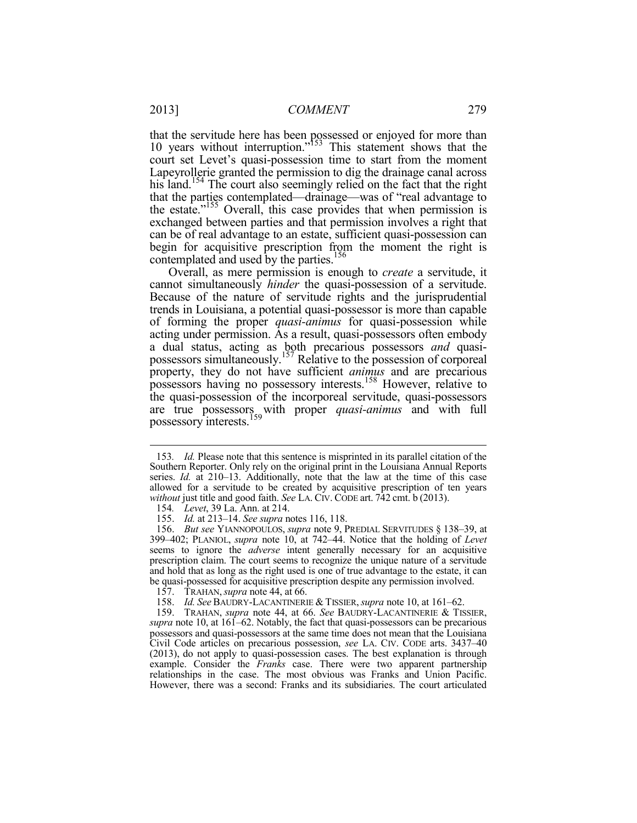that the servitude here has been possessed or enjoyed for more than 10 years without interruption."153 This statement shows that the court set Levet's quasi-possession time to start from the moment Lapeyrollerie granted the permission to dig the drainage canal across his land.<sup>154</sup> The court also seemingly relied on the fact that the right that the parties contemplated—drainage—was of "real advantage to the estate."<sup>155</sup> Overall, this case provides that when permission is exchanged between parties and that permission involves a right that can be of real advantage to an estate, sufficient quasi-possession can begin for acquisitive prescription from the moment the right is contemplated and used by the parties.<sup>156</sup>

Overall, as mere permission is enough to *create* a servitude, it cannot simultaneously *hinder* the quasi-possession of a servitude. Because of the nature of servitude rights and the jurisprudential trends in Louisiana, a potential quasi-possessor is more than capable of forming the proper *quasi-animus* for quasi-possession while acting under permission. As a result, quasi-possessors often embody a dual status, acting as both precarious possessors *and* quasipossessors simultaneously.<sup>157</sup> Relative to the possession of corporeal property, they do not have sufficient *animus* and are precarious possessors having no possessory interests.158 However, relative to the quasi-possession of the incorporeal servitude, quasi-possessors are true possessors with proper *quasi-animus* and with full possessory interests.<sup>159</sup>

<sup>153</sup>*. Id.* Please note that this sentence is misprinted in its parallel citation of the Southern Reporter. Only rely on the original print in the Louisiana Annual Reports series. *Id.* at 210–13. Additionally, note that the law at the time of this case allowed for a servitude to be created by acquisitive prescription of ten years *without* just title and good faith. *See LA. CIV. CODE art.* 742 cmt. b (2013).

<sup>154</sup>*. Levet*, 39 La. Ann. at 214.

 <sup>155.</sup> *Id.* at 213–14. *See supra* notes 116, 118.

 <sup>156.</sup> *But see* YIANNOPOULOS, *supra* note 9, PREDIAL SERVITUDES § 138–39, at 399–402; PLANIOL, *supra* note 10, at 742–44. Notice that the holding of *Levet*  seems to ignore the *adverse* intent generally necessary for an acquisitive prescription claim. The court seems to recognize the unique nature of a servitude and hold that as long as the right used is one of true advantage to the estate, it can be quasi-possessed for acquisitive prescription despite any permission involved.

 <sup>157.</sup> TRAHAN,*supra* note 44, at 66.

 <sup>158.</sup> *Id. See* BAUDRY-LACANTINERIE & TISSIER,*supra* note 10, at 161–62.

 <sup>159.</sup> TRAHAN, *supra* note 44, at 66. *See* BAUDRY-LACANTINERIE & TISSIER, *supra* note 10, at 161–62. Notably, the fact that quasi-possessors can be precarious possessors and quasi-possessors at the same time does not mean that the Louisiana Civil Code articles on precarious possession, *see* LA. CIV. CODE arts. 3437–40 (2013), do not apply to quasi-possession cases. The best explanation is through example. Consider the *Franks* case. There were two apparent partnership relationships in the case. The most obvious was Franks and Union Pacific. However, there was a second: Franks and its subsidiaries. The court articulated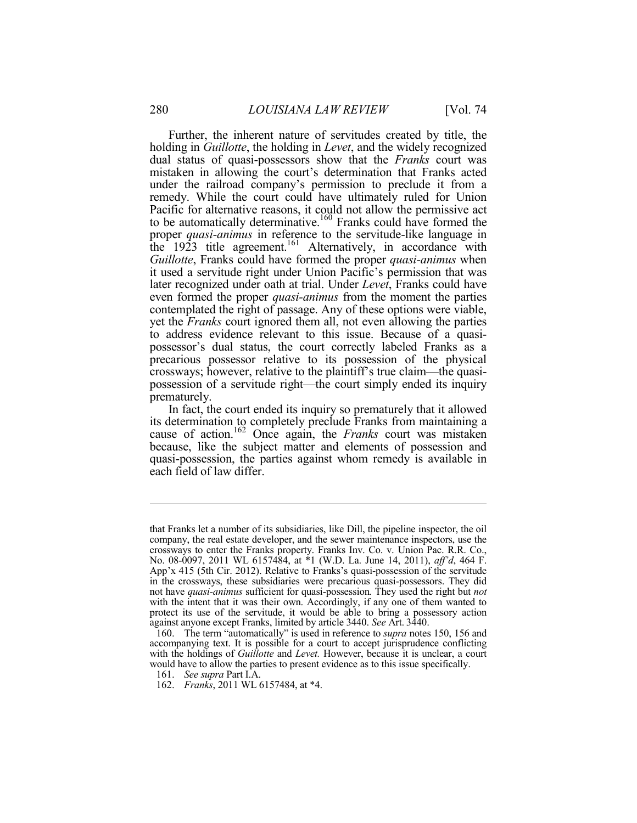Further, the inherent nature of servitudes created by title, the holding in *Guillotte*, the holding in *Levet*, and the widely recognized dual status of quasi-possessors show that the *Franks* court was mistaken in allowing the court's determination that Franks acted under the railroad company's permission to preclude it from a remedy. While the court could have ultimately ruled for Union Pacific for alternative reasons, it could not allow the permissive act to be automatically determinative.<sup>160</sup> Franks could have formed the proper *quasi-animus* in reference to the servitude-like language in the 1923 title agreement.<sup>161</sup> Alternatively, in accordance with *Guillotte*, Franks could have formed the proper *quasi-animus* when it used a servitude right under Union Pacific's permission that was later recognized under oath at trial. Under *Levet*, Franks could have even formed the proper *quasi-animus* from the moment the parties contemplated the right of passage. Any of these options were viable, yet the *Franks* court ignored them all, not even allowing the parties to address evidence relevant to this issue. Because of a quasipossessor's dual status, the court correctly labeled Franks as a precarious possessor relative to its possession of the physical crossways; however, relative to the plaintiff's true claim—the quasipossession of a servitude right—the court simply ended its inquiry prematurely.

In fact, the court ended its inquiry so prematurely that it allowed its determination to completely preclude Franks from maintaining a cause of action.162 Once again, the *Franks* court was mistaken because, like the subject matter and elements of possession and quasi-possession, the parties against whom remedy is available in each field of law differ.

that Franks let a number of its subsidiaries, like Dill, the pipeline inspector, the oil company, the real estate developer, and the sewer maintenance inspectors, use the crossways to enter the Franks property. Franks Inv. Co. v. Union Pac. R.R. Co., No. 08-0097, 2011 WL 6157484, at \*1 (W.D. La. June 14, 2011), *aff'd*, 464 F. App'x 415 (5th Cir. 2012). Relative to Franks's quasi-possession of the servitude in the crossways, these subsidiaries were precarious quasi-possessors. They did not have *quasi-animus* sufficient for quasi-possession*.* They used the right but *not*  with the intent that it was their own. Accordingly, if any one of them wanted to protect its use of the servitude, it would be able to bring a possessory action against anyone except Franks, limited by article 3440. *See* Art. 3440.

 <sup>160.</sup> The term "automatically" is used in reference to *supra* notes 150, 156 and accompanying text. It is possible for a court to accept jurisprudence conflicting with the holdings of *Guillotte* and *Levet*. However, because it is unclear, a court would have to allow the parties to present evidence as to this issue specifically.

 <sup>161.</sup> *See supra* Part I.A.

 <sup>162.</sup> *Franks*, 2011 WL 6157484, at \*4.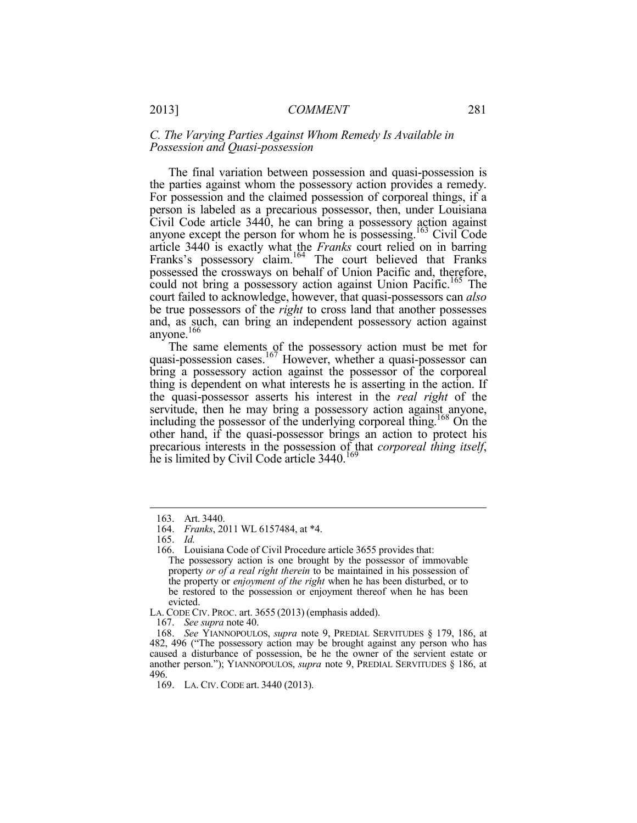#### *C. The Varying Parties Against Whom Remedy Is Available in Possession and Quasi-possession*

The final variation between possession and quasi-possession is the parties against whom the possessory action provides a remedy. For possession and the claimed possession of corporeal things, if a person is labeled as a precarious possessor, then, under Louisiana Civil Code article 3440, he can bring a possessory action against anyone except the person for whom he is possessing.<sup>163</sup> Civil Code article 3440 is exactly what the *Franks* court relied on in barring Franks's possessory claim.<sup>164</sup> The court believed that Franks possessed the crossways on behalf of Union Pacific and, therefore, could not bring a possessory action against Union Pacific.<sup>165</sup> The court failed to acknowledge, however, that quasi-possessors can *also* be true possessors of the *right* to cross land that another possesses and, as such, can bring an independent possessory action against anyone.<sup>166</sup>

The same elements of the possessory action must be met for quasi-possession cases.<sup>167</sup> However, whether a quasi-possessor can bring a possessory action against the possessor of the corporeal thing is dependent on what interests he is asserting in the action. If the quasi-possessor asserts his interest in the *real right* of the servitude, then he may bring a possessory action against anyone, including the possessor of the underlying corporeal thing.<sup>168</sup> On the other hand, if the quasi-possessor brings an action to protect his precarious interests in the possession of that *corporeal thing itself*, he is limited by Civil Code article 3440.<sup>169</sup>

 <sup>163.</sup> Art. 3440.

 <sup>164.</sup> *Franks*, 2011 WL 6157484, at \*4.

 <sup>165.</sup> *Id.* 

 <sup>166.</sup> Louisiana Code of Civil Procedure article 3655 provides that:

The possessory action is one brought by the possessor of immovable property *or of a real right therein* to be maintained in his possession of the property or *enjoyment of the right* when he has been disturbed, or to be restored to the possession or enjoyment thereof when he has been evicted.

LA. CODE CIV. PROC. art. 3655 (2013) (emphasis added).

 <sup>167.</sup> *See supra* note 40.

 <sup>168.</sup> *See* YIANNOPOULOS, *supra* note 9, PREDIAL SERVITUDES § 179, 186, at 482, 496 ("The possessory action may be brought against any person who has caused a disturbance of possession, be he the owner of the servient estate or another person."); YIANNOPOULOS, *supra* note 9, PREDIAL SERVITUDES § 186, at 496.

 <sup>169.</sup> LA. CIV. CODE art. 3440 (2013).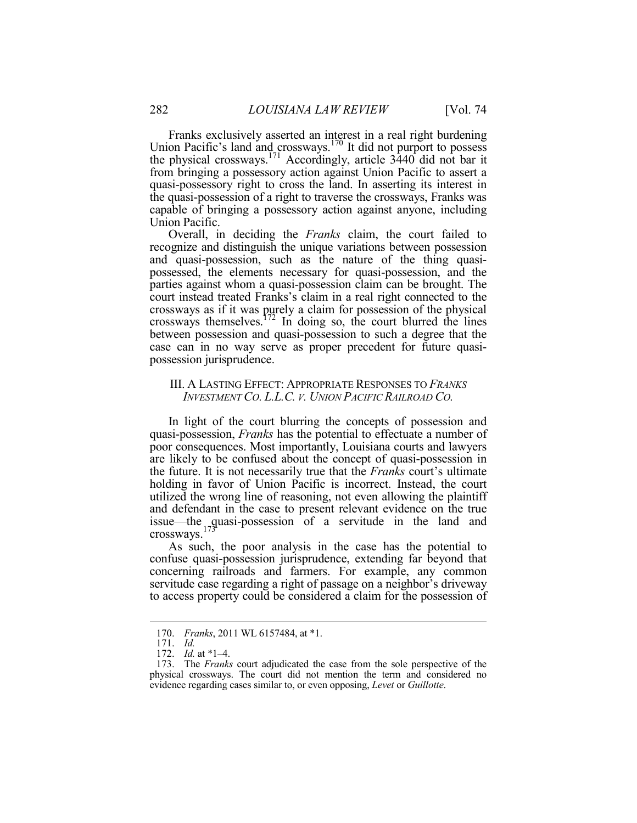Franks exclusively asserted an interest in a real right burdening Union Pacific's land and crossways.<sup>170</sup> It did not purport to possess the physical crossways.<sup>171</sup> Accordingly, article 3440 did not bar it from bringing a possessory action against Union Pacific to assert a quasi-possessory right to cross the land. In asserting its interest in the quasi-possession of a right to traverse the crossways, Franks was capable of bringing a possessory action against anyone, including Union Pacific.

Overall, in deciding the *Franks* claim, the court failed to recognize and distinguish the unique variations between possession and quasi-possession, such as the nature of the thing quasipossessed, the elements necessary for quasi-possession, and the parties against whom a quasi-possession claim can be brought. The court instead treated Franks's claim in a real right connected to the crossways as if it was purely a claim for possession of the physical crossways themselves.<sup>172</sup> In doing so, the court blurred the lines between possession and quasi-possession to such a degree that the case can in no way serve as proper precedent for future quasipossession jurisprudence.

#### III. A LASTING EFFECT: APPROPRIATE RESPONSES TO *FRANKS INVESTMENT CO. L.L.C. V. UNION PACIFIC RAILROAD CO.*

In light of the court blurring the concepts of possession and quasi-possession, *Franks* has the potential to effectuate a number of poor consequences. Most importantly, Louisiana courts and lawyers are likely to be confused about the concept of quasi-possession in the future. It is not necessarily true that the *Franks* court's ultimate holding in favor of Union Pacific is incorrect. Instead, the court utilized the wrong line of reasoning, not even allowing the plaintiff and defendant in the case to present relevant evidence on the true issue—the quasi-possession of a servitude in the land and crossways.<sup>173</sup>

As such, the poor analysis in the case has the potential to confuse quasi-possession jurisprudence, extending far beyond that concerning railroads and farmers. For example, any common servitude case regarding a right of passage on a neighbor's driveway to access property could be considered a claim for the possession of

 <sup>170.</sup> *Franks*, 2011 WL 6157484, at \*1.

 <sup>171.</sup> *Id.* 

 <sup>172.</sup> *Id.* at \*1–4.

 <sup>173.</sup> The *Franks* court adjudicated the case from the sole perspective of the physical crossways. The court did not mention the term and considered no evidence regarding cases similar to, or even opposing, *Levet* or *Guillotte*.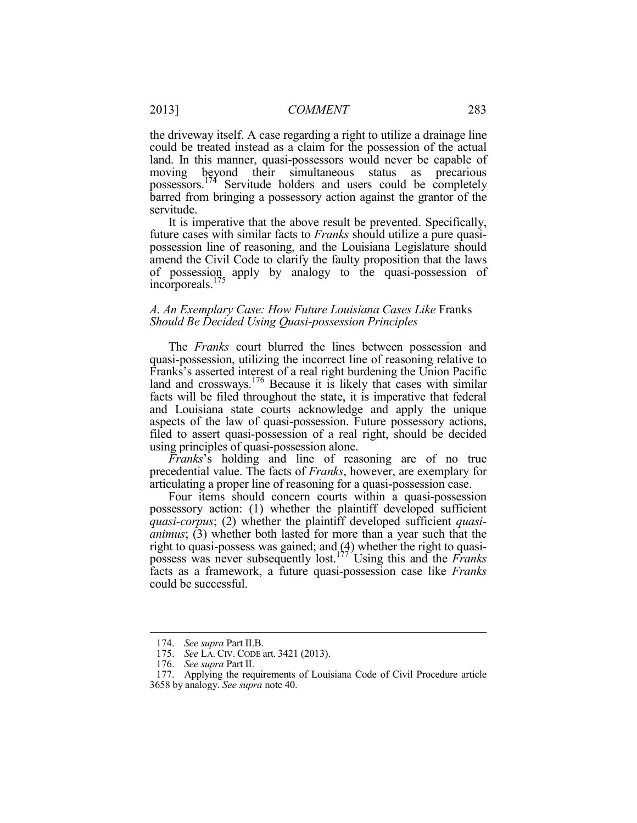the driveway itself. A case regarding a right to utilize a drainage line could be treated instead as a claim for the possession of the actual land. In this manner, quasi-possessors would never be capable of moving beyond their simultaneous status as precarious possessors.174 Servitude holders and users could be completely barred from bringing a possessory action against the grantor of the servitude.

It is imperative that the above result be prevented. Specifically, future cases with similar facts to *Franks* should utilize a pure quasipossession line of reasoning, and the Louisiana Legislature should amend the Civil Code to clarify the faulty proposition that the laws of possession apply by analogy to the quasi-possession of incorporeals.175

#### *A. An Exemplary Case: How Future Louisiana Cases Like* Franks *Should Be Decided Using Quasi-possession Principles*

The *Franks* court blurred the lines between possession and quasi-possession, utilizing the incorrect line of reasoning relative to Franks's asserted interest of a real right burdening the Union Pacific land and crossways.<sup>176</sup> Because it is likely that cases with similar facts will be filed throughout the state, it is imperative that federal and Louisiana state courts acknowledge and apply the unique aspects of the law of quasi-possession. Future possessory actions, filed to assert quasi-possession of a real right, should be decided using principles of quasi-possession alone.

*Franks*'s holding and line of reasoning are of no true precedential value. The facts of *Franks*, however, are exemplary for articulating a proper line of reasoning for a quasi-possession case.

Four items should concern courts within a quasi-possession possessory action: (1) whether the plaintiff developed sufficient *quasi-corpus*; (2) whether the plaintiff developed sufficient *quasianimus*; (3) whether both lasted for more than a year such that the right to quasi-possess was gained; and  $(4)$  whether the right to quasipossess was never subsequently lost.177 Using this and the *Franks*  facts as a framework, a future quasi-possession case like *Franks* could be successful.

 <sup>174.</sup> *See supra* Part II.B.

 <sup>175.</sup> *See* LA. CIV. CODE art. 3421 (2013).

 <sup>176.</sup> *See supra* Part II.

 <sup>177.</sup> Applying the requirements of Louisiana Code of Civil Procedure article 3658 by analogy. *See supra* note 40.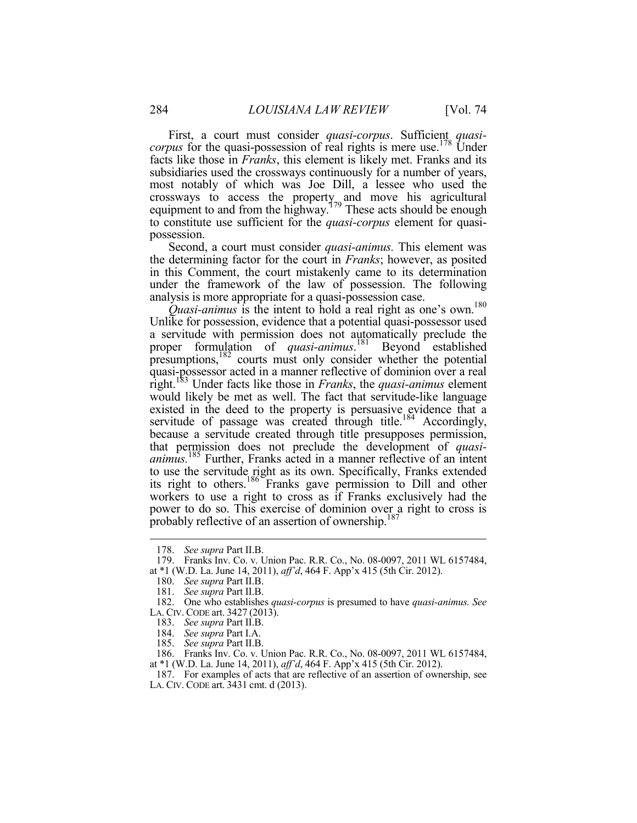First, a court must consider *quasi-corpus*. Sufficient *quasicorpus* for the quasi-possession of real rights is mere use.<sup>178</sup> Under facts like those in *Franks*, this element is likely met. Franks and its subsidiaries used the crossways continuously for a number of years, most notably of which was Joe Dill, a lessee who used the crossways to access the property and move his agricultural equipment to and from the highway.<sup>179</sup> These acts should be enough to constitute use sufficient for the *quasi-corpus* element for quasipossession.

Second, a court must consider *quasi-animus.* This element was the determining factor for the court in *Franks*; however, as posited in this Comment, the court mistakenly came to its determination under the framework of the law of possession. The following analysis is more appropriate for a quasi-possession case.

*Quasi-animus* is the intent to hold a real right as one's own.<sup>180</sup> Unlike for possession, evidence that a potential quasi-possessor used a servitude with permission does not automatically preclude the proper formulation of *quasi-animus*. 181 Beyond established presumptions,182 courts must only consider whether the potential quasi-possessor acted in a manner reflective of dominion over a real right.183 Under facts like those in *Franks*, the *quasi-animus* element would likely be met as well. The fact that servitude-like language existed in the deed to the property is persuasive evidence that a servitude of passage was created through title.<sup>184</sup> Accordingly, because a servitude created through title presupposes permission, that permission does not preclude the development of *quasianimus.*<sup>185</sup> Further, Franks acted in a manner reflective of an intent to use the servitude right as its own. Specifically, Franks extended its right to others.186 Franks gave permission to Dill and other workers to use a right to cross as if Franks exclusively had the power to do so. This exercise of dominion over a right to cross is probably reflective of an assertion of ownership.<sup>187</sup>

1

 186. Franks Inv. Co. v. Union Pac. R.R. Co., No. 08-0097, 2011 WL 6157484, at \*1 (W.D. La. June 14, 2011), *aff'd*, 464 F. App'x 415 (5th Cir. 2012).

 <sup>178.</sup> *See supra* Part II.B.

 <sup>179.</sup> Franks Inv. Co. v. Union Pac. R.R. Co., No. 08-0097, 2011 WL 6157484, at \*1 (W.D. La. June 14, 2011), *aff'd*, 464 F. App'x 415 (5th Cir. 2012).

 <sup>180.</sup> *See supra* Part II.B.

 <sup>181.</sup> *See supra* Part II.B.

 <sup>182.</sup> One who establishes *quasi-corpus* is presumed to have *quasi-animus. See*  LA. CIV. CODE art. 3427 (2013).

 <sup>183.</sup> *See supra* Part II.B.

 <sup>184.</sup> *See supra* Part I.A.

 <sup>185.</sup> *See supra* Part II.B.

 <sup>187.</sup> For examples of acts that are reflective of an assertion of ownership, see LA. CIV. CODE art. 3431 cmt. d (2013).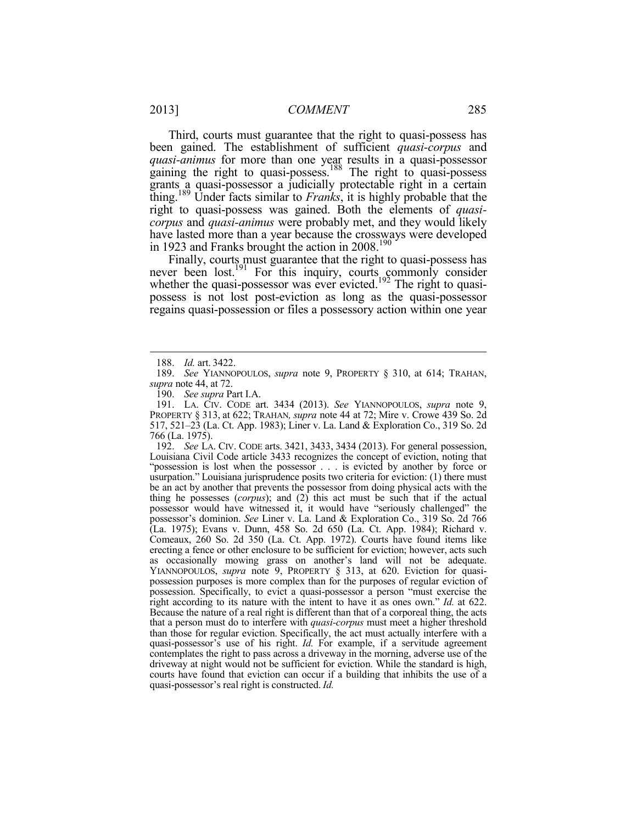Third, courts must guarantee that the right to quasi-possess has been gained. The establishment of sufficient *quasi-corpus* and *quasi-animus* for more than one year results in a quasi-possessor gaining the right to quasi-possess.<sup>188</sup> The right to quasi-possess grants a quasi-possessor a judicially protectable right in a certain thing.189 Under facts similar to *Franks*, it is highly probable that the right to quasi-possess was gained. Both the elements of *quasicorpus* and *quasi-animus* were probably met, and they would likely have lasted more than a year because the crossways were developed in 1923 and Franks brought the action in 2008.<sup>190</sup>

Finally, courts must guarantee that the right to quasi-possess has never been lost.<sup>191</sup> For this inquiry, courts commonly consider whether the quasi-possessor was ever evicted.<sup>192</sup> The right to quasipossess is not lost post-eviction as long as the quasi-possessor regains quasi-possession or files a possessory action within one year

1

 192. *See* LA. CIV. CODE arts. 3421, 3433, 3434 (2013). For general possession, Louisiana Civil Code article 3433 recognizes the concept of eviction, noting that "possession is lost when the possessor . . . is evicted by another by force or usurpation." Louisiana jurisprudence posits two criteria for eviction: (1) there must be an act by another that prevents the possessor from doing physical acts with the thing he possesses (*corpus*); and (2) this act must be such that if the actual possessor would have witnessed it, it would have "seriously challenged" the possessor's dominion. *See* Liner v. La. Land & Exploration Co., 319 So. 2d 766 (La. 1975); Evans v. Dunn, 458 So. 2d 650 (La. Ct. App. 1984); Richard v. Comeaux, 260 So. 2d 350 (La. Ct. App. 1972). Courts have found items like erecting a fence or other enclosure to be sufficient for eviction; however, acts such as occasionally mowing grass on another's land will not be adequate. YIANNOPOULOS, *supra* note 9, PROPERTY § 313, at 620. Eviction for quasipossession purposes is more complex than for the purposes of regular eviction of possession. Specifically, to evict a quasi-possessor a person "must exercise the right according to its nature with the intent to have it as ones own." *Id.* at 622. Because the nature of a real right is different than that of a corporeal thing, the acts that a person must do to interfere with *quasi-corpus* must meet a higher threshold than those for regular eviction. Specifically, the act must actually interfere with a quasi-possessor's use of his right. *Id.* For example, if a servitude agreement contemplates the right to pass across a driveway in the morning, adverse use of the driveway at night would not be sufficient for eviction. While the standard is high, courts have found that eviction can occur if a building that inhibits the use of a quasi-possessor's real right is constructed. *Id.* 

 <sup>188.</sup> *Id.* art. 3422.

 <sup>189.</sup> *See* YIANNOPOULOS, *supra* note 9, PROPERTY § 310, at 614; TRAHAN, *supra* note 44, at 72.

 <sup>190.</sup> *See supra* Part I.A.

 <sup>191.</sup> LA. CIV. CODE art. 3434 (2013). *See* YIANNOPOULOS, *supra* note 9, PROPERTY § 313, at 622; TRAHAN*, supra* note 44 at 72; Mire v. Crowe 439 So. 2d 517, 521–23 (La. Ct. App. 1983); Liner v. La. Land & Exploration Co., 319 So. 2d 766 (La. 1975).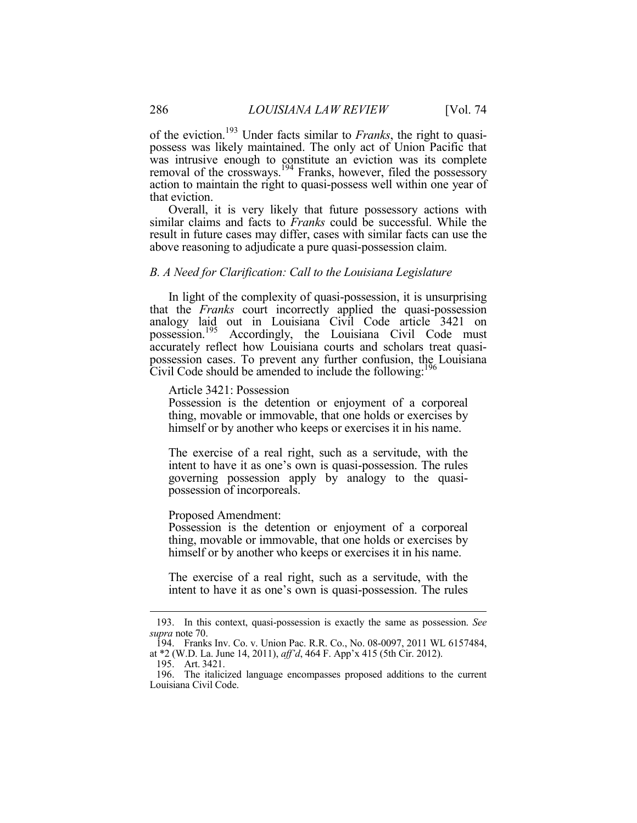of the eviction.193 Under facts similar to *Franks*, the right to quasipossess was likely maintained. The only act of Union Pacific that was intrusive enough to constitute an eviction was its complete removal of the crossways.<sup>194</sup> Franks, however, filed the possessory action to maintain the right to quasi-possess well within one year of that eviction.

Overall, it is very likely that future possessory actions with similar claims and facts to *Franks* could be successful. While the result in future cases may differ, cases with similar facts can use the above reasoning to adjudicate a pure quasi-possession claim.

#### *B. A Need for Clarification: Call to the Louisiana Legislature*

In light of the complexity of quasi-possession, it is unsurprising that the *Franks* court incorrectly applied the quasi-possession analogy laid out in Louisiana Civil Code article 3421 on possession.<sup>195</sup> Accordingly, the Louisiana Civil Code must accurately reflect how Louisiana courts and scholars treat quasipossession cases. To prevent any further confusion, the Louisiana Civil Code should be amended to include the following:<sup>196</sup>

Article 3421: Possession

Possession is the detention or enjoyment of a corporeal thing, movable or immovable, that one holds or exercises by himself or by another who keeps or exercises it in his name.

The exercise of a real right, such as a servitude, with the intent to have it as one's own is quasi-possession. The rules governing possession apply by analogy to the quasipossession of incorporeals.

#### Proposed Amendment:

Possession is the detention or enjoyment of a corporeal thing, movable or immovable, that one holds or exercises by himself or by another who keeps or exercises it in his name.

The exercise of a real right, such as a servitude, with the intent to have it as one's own is quasi-possession. The rules

 <sup>193.</sup> In this context, quasi-possession is exactly the same as possession. *See supra* note 70.

 <sup>194.</sup> Franks Inv. Co. v. Union Pac. R.R. Co., No. 08-0097, 2011 WL 6157484, at \*2 (W.D. La. June 14, 2011), *aff'd*, 464 F. App'x 415 (5th Cir. 2012).

 <sup>195.</sup> Art. 3421.

 <sup>196.</sup> The italicized language encompasses proposed additions to the current Louisiana Civil Code.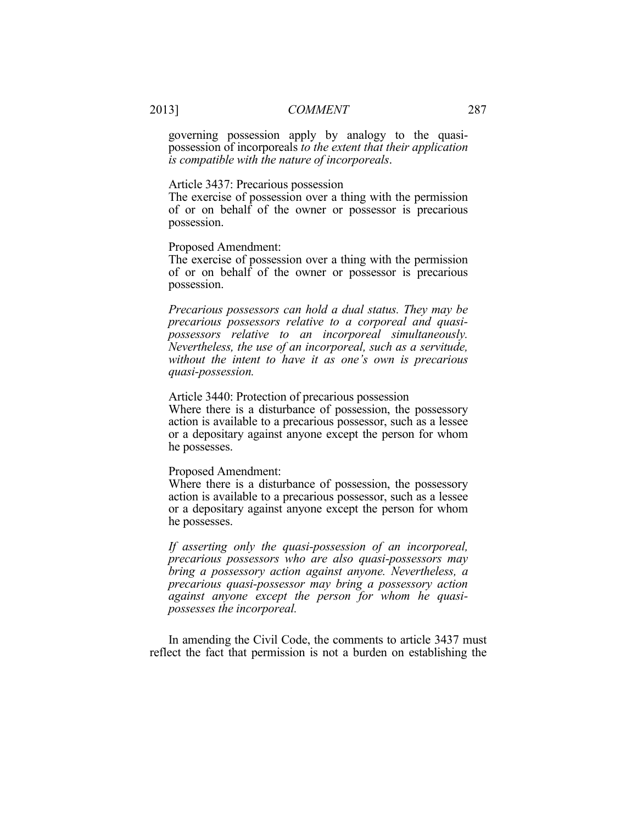governing possession apply by analogy to the quasipossession of incorporeals *to the extent that their application is compatible with the nature of incorporeals*.

#### Article 3437: Precarious possession

The exercise of possession over a thing with the permission of or on behalf of the owner or possessor is precarious possession.

Proposed Amendment:

The exercise of possession over a thing with the permission of or on behalf of the owner or possessor is precarious possession.

*Precarious possessors can hold a dual status. They may be precarious possessors relative to a corporeal and quasipossessors relative to an incorporeal simultaneously. Nevertheless, the use of an incorporeal, such as a servitude, without the intent to have it as one's own is precarious quasi-possession.* 

Article 3440: Protection of precarious possession

Where there is a disturbance of possession, the possessory action is available to a precarious possessor, such as a lessee or a depositary against anyone except the person for whom he possesses.

#### Proposed Amendment:

Where there is a disturbance of possession, the possessory action is available to a precarious possessor, such as a lessee or a depositary against anyone except the person for whom he possesses.

*If asserting only the quasi-possession of an incorporeal, precarious possessors who are also quasi-possessors may bring a possessory action against anyone. Nevertheless, a precarious quasi-possessor may bring a possessory action against anyone except the person for whom he quasipossesses the incorporeal.* 

In amending the Civil Code, the comments to article 3437 must reflect the fact that permission is not a burden on establishing the